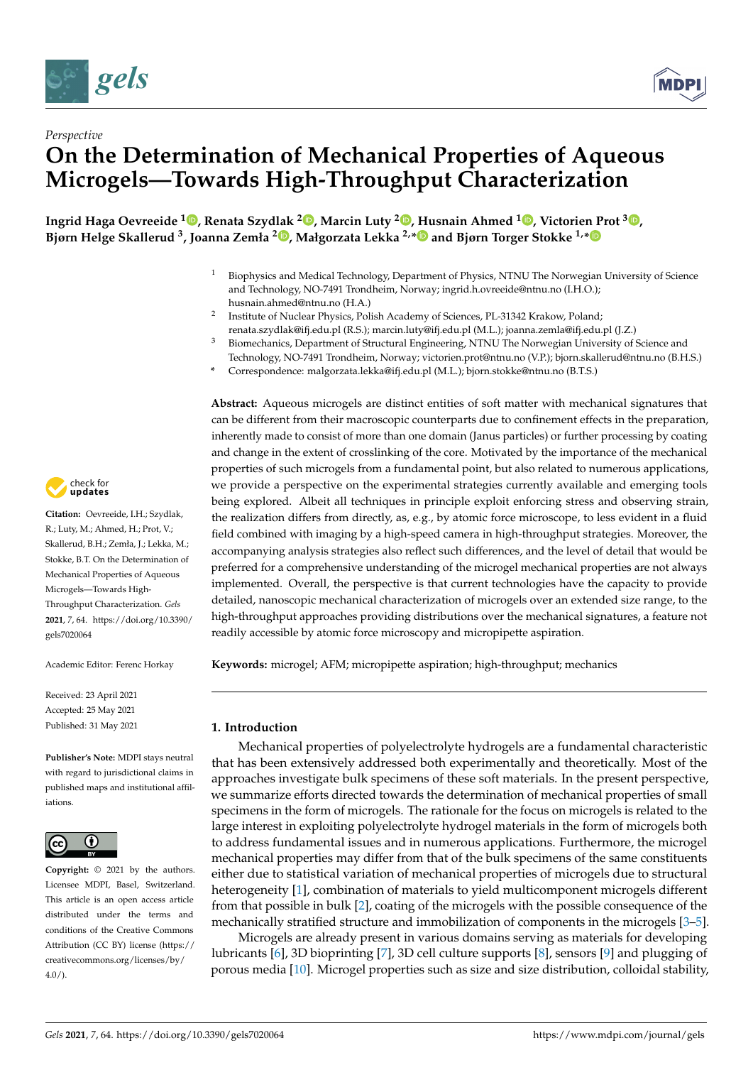



# *Perspective* **On the Determination of Mechanical Properties of Aqueous Microgels—Towards High-Throughput Characterization**

**Ingrid Haga Oevreeide [1](https://orcid.org/0000-0002-7240-3568) , Renata Szydlak [2](https://orcid.org/0000-0003-2760-2952) , Marcin Luty [2](https://orcid.org/0000-0002-8332-8962) , Husnain Ahmed <sup>1</sup> [,](https://orcid.org/0000-0002-6633-2935) Victorien Prot <sup>3</sup> [,](https://orcid.org/0000-0002-8761-5088) Bjørn Helge Skallerud <sup>3</sup> , Joanna Zemła <sup>2</sup> [,](https://orcid.org/0000-0003-0980-4649) Małgorzata Lekka 2,[\\*](https://orcid.org/0000-0003-0844-8662) and Bjørn Torger Stokke 1,[\\*](https://orcid.org/0000-0003-2991-8088)**

- <sup>1</sup> Biophysics and Medical Technology, Department of Physics, NTNU The Norwegian University of Science and Technology, NO-7491 Trondheim, Norway; ingrid.h.ovreeide@ntnu.no (I.H.O.); husnain.ahmed@ntnu.no (H.A.)
- 2 Institute of Nuclear Physics, Polish Academy of Sciences, PL-31342 Krakow, Poland; renata.szydlak@ifj.edu.pl (R.S.); marcin.luty@ifj.edu.pl (M.L.); joanna.zemla@ifj.edu.pl (J.Z.)
- <sup>3</sup> Biomechanics, Department of Structural Engineering, NTNU The Norwegian University of Science and Technology, NO-7491 Trondheim, Norway; victorien.prot@ntnu.no (V.P.); bjorn.skallerud@ntnu.no (B.H.S.)
- **\*** Correspondence: malgorzata.lekka@ifj.edu.pl (M.L.); bjorn.stokke@ntnu.no (B.T.S.)

**Abstract:** Aqueous microgels are distinct entities of soft matter with mechanical signatures that can be different from their macroscopic counterparts due to confinement effects in the preparation, inherently made to consist of more than one domain (Janus particles) or further processing by coating and change in the extent of crosslinking of the core. Motivated by the importance of the mechanical properties of such microgels from a fundamental point, but also related to numerous applications, we provide a perspective on the experimental strategies currently available and emerging tools being explored. Albeit all techniques in principle exploit enforcing stress and observing strain, the realization differs from directly, as, e.g., by atomic force microscope, to less evident in a fluid field combined with imaging by a high-speed camera in high-throughput strategies. Moreover, the accompanying analysis strategies also reflect such differences, and the level of detail that would be preferred for a comprehensive understanding of the microgel mechanical properties are not always implemented. Overall, the perspective is that current technologies have the capacity to provide detailed, nanoscopic mechanical characterization of microgels over an extended size range, to the high-throughput approaches providing distributions over the mechanical signatures, a feature not readily accessible by atomic force microscopy and micropipette aspiration.

**Keywords:** microgel; AFM; micropipette aspiration; high-throughput; mechanics

## **1. Introduction**

Mechanical properties of polyelectrolyte hydrogels are a fundamental characteristic that has been extensively addressed both experimentally and theoretically. Most of the approaches investigate bulk specimens of these soft materials. In the present perspective, we summarize efforts directed towards the determination of mechanical properties of small specimens in the form of microgels. The rationale for the focus on microgels is related to the large interest in exploiting polyelectrolyte hydrogel materials in the form of microgels both to address fundamental issues and in numerous applications. Furthermore, the microgel mechanical properties may differ from that of the bulk specimens of the same constituents either due to statistical variation of mechanical properties of microgels due to structural heterogeneity [\[1\]](#page-13-0), combination of materials to yield multicomponent microgels different from that possible in bulk [\[2\]](#page-13-1), coating of the microgels with the possible consequence of the mechanically stratified structure and immobilization of components in the microgels [\[3](#page-13-2)[–5\]](#page-14-0).

Microgels are already present in various domains serving as materials for developing lubricants [\[6\]](#page-14-1), 3D bioprinting [\[7\]](#page-14-2), 3D cell culture supports [\[8\]](#page-14-3), sensors [\[9\]](#page-14-4) and plugging of porous media [\[10\]](#page-14-5). Microgel properties such as size and size distribution, colloidal stability,



**Citation:** Oevreeide, I.H.; Szydlak, R.; Luty, M.; Ahmed, H.; Prot, V.; Skallerud, B.H.; Zemła, J.; Lekka, M.; Stokke, B.T. On the Determination of Mechanical Properties of Aqueous Microgels—Towards High-Throughput Characterization. *Gels* **2021**, *7*, 64. [https://doi.org/10.3390/](https://doi.org/10.3390/gels7020064) [gels7020064](https://doi.org/10.3390/gels7020064)

Academic Editor: Ferenc Horkay

Received: 23 April 2021 Accepted: 25 May 2021 Published: 31 May 2021

**Publisher's Note:** MDPI stays neutral with regard to jurisdictional claims in published maps and institutional affiliations.



**Copyright:** © 2021 by the authors. Licensee MDPI, Basel, Switzerland. This article is an open access article distributed under the terms and conditions of the Creative Commons Attribution (CC BY) license (https:/[/](https://creativecommons.org/licenses/by/4.0/) [creativecommons.org/licenses/by/](https://creativecommons.org/licenses/by/4.0/)  $4.0/$ ).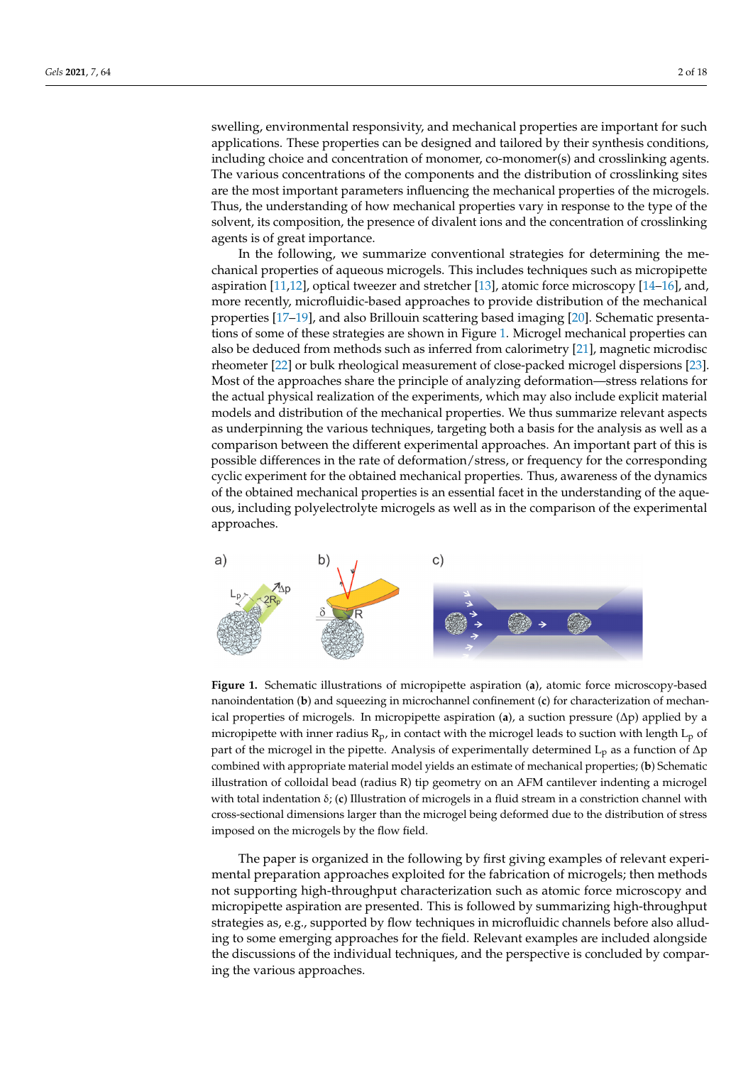swelling, environmental responsivity, and mechanical properties are important for such applications. These properties can be designed and tailored by their synthesis conditions, including choice and concentration of monomer, co-monomer(s) and crosslinking agents. The various concentrations of the components and the distribution of crosslinking sites are the most important parameters influencing the mechanical properties of the microgels. Thus, the understanding of how mechanical properties vary in response to the type of the solvent, its composition, the presence of divalent ions and the concentration of crosslinking

agents is of great importance. In the following, we summarize conventional strategies for determining the me-In the following, we summarize conventional strategies for determining the chanical properties of aqueous microgels. This includes techniques such as micropipette mechanical properties of aqueous microgels. This includes techniques such as aspiration [\[11,](#page-14-6)[12\]](#page-14-7), optical tweezer and stretcher [\[13\]](#page-14-8), atomic force microscopy [\[14](#page-14-9)[–16\]](#page-14-10), and, more recently, microfluidic-based approaches to provide distribution of the mechanical properties [\[17–](#page-14-11)[19\]](#page-14-12), and also Brillouin scattering based imaging [\[20\]](#page-14-13). Schematic presentations of some of [th](#page-1-0)ese strategies are shown in Figure 1. Microgel mechanical properties can also be deduced from methods such as inferred from calorimetry [\[21\]](#page-14-14), magnetic microdisc rheometer [\[22\]](#page-14-15) or bulk rheological measurement of close-packed microgel dispersions [\[23\]](#page-14-16). Most of the approaches share the principle of analyzing deformation—stress relations for the actual physical realization of the experiments, which may also include explicit material models and distribution of the mechanical properties. We thus summarize relevant aspects as underpinning the various techniques, targeting both a basis for the analysis as well as a underpinning the various techniques, targeting both a basis for the analysis as well as a comparison between the different experimental approaches. An important part of this is possible differences in the rate of deformation/stress, or frequency for the corresponding<br>different experimental approaches. cyclic experiment for the obtained mechanical properties. Thus, awareness of the dynamics of the obtained mechanical properties is an essential facet in the understanding of the aqueous, including polyelectrolyte microgels as well as in the comparison of the experimental ous, including polyelectrolyte microgels as well as in the comparison of the experimental approaches. rechange properties is an essential facet in the unique of the application of the experimental pproaches.

<span id="page-1-0"></span>

**Figure 1.** Schematic illustrations of micropipette aspiration (**a**), atomic force microscopy-based **Figure 1.** Schematic illustrations of micropipette aspiration (**a**), atomic force microscopy-based nanoindentation (**b**) and squeezing in microchannel confinement (**c**) for characterization of nanoindentation (**b**) and squeezing in microchannel confinement (**c**) for characterization of mechanmechanical properties of microgels. In micropipette aspiration (**a**), a suction pressure (Δp) applied ical properties of microgels. In micropipette aspiration (**a**), a suction pressure (∆p) applied by a micropipette with inner radius  $R_p$ , in contact with the microgel leads to suction with length L<sub>p</sub> of of part of the microgel in the microgel in the microgeneous control  $\alpha$  function of  $\alpha$  function of  $\lambda$ p as a function of  $\lambda$ p as a function of  $\lambda$ p as a function of  $\lambda$ p as a function of  $\lambda$ p as a function of  $\lambda$ part of the microgel in the pipette. Analysis of experimentally determined L<sub>p</sub> as a function of ∆p combined with appropriate material model yields an estimate of mechanical properties; (**b**) Schematic illustration of colloidal bead (radius R) tip geometry on an AFM cantilever indenting a microgel with total indentation δ; (**c**) Illustration of microgels in a fluid stream in a constriction channel with cross-sectional dimensions larger than the microgel being deformed due to the distribution of stress imposed on the microgels by the flow field.

The paper is organized in the following by first giving examples of relevant experimental preparation approaches exploited for the fabrication of microgels; then methods not supporting high-throughput characterization such as atomic force microscopy and micropipette aspiration are presented. This is followed by summarizing high-throughput strategies as, e.g., supported by flow techniques in microfluidic channels before also alluding to some emerging approaches for the field. Relevant examples are included alongside the discussions of the individual techniques, and the perspective is concluded by comparing the various approaches.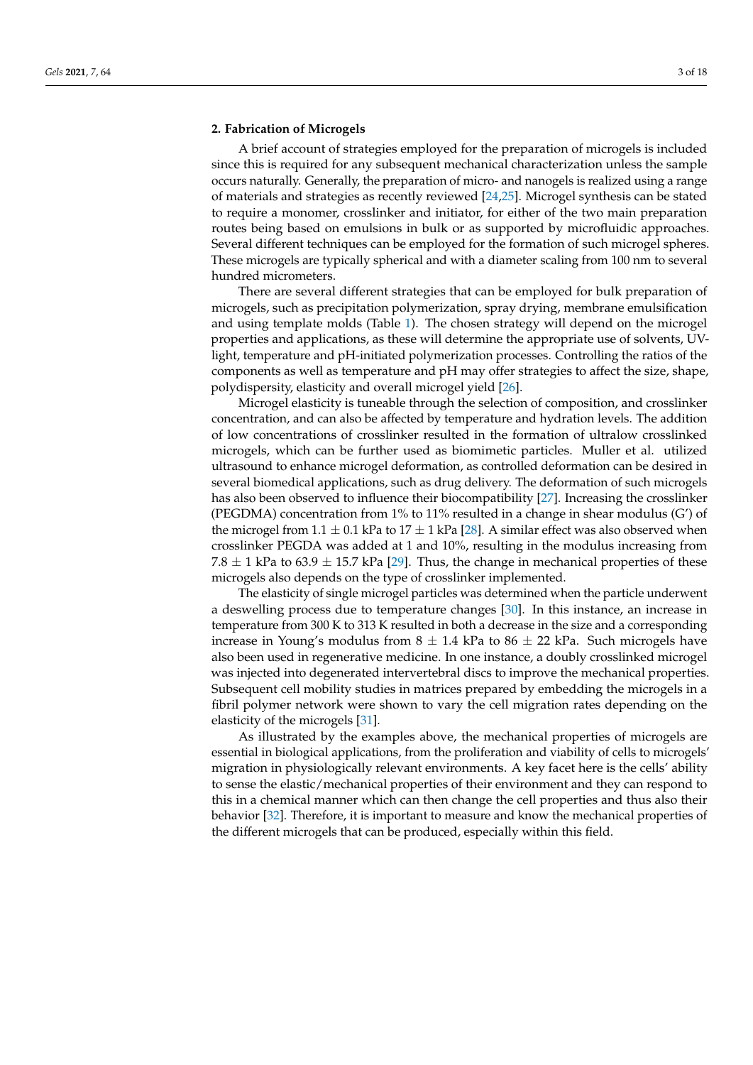## **2. Fabrication of Microgels**

A brief account of strategies employed for the preparation of microgels is included since this is required for any subsequent mechanical characterization unless the sample occurs naturally. Generally, the preparation of micro- and nanogels is realized using a range of materials and strategies as recently reviewed [\[24,](#page-14-17)[25\]](#page-14-18). Microgel synthesis can be stated to require a monomer, crosslinker and initiator, for either of the two main preparation routes being based on emulsions in bulk or as supported by microfluidic approaches. Several different techniques can be employed for the formation of such microgel spheres. These microgels are typically spherical and with a diameter scaling from 100 nm to several hundred micrometers.

There are several different strategies that can be employed for bulk preparation of microgels, such as precipitation polymerization, spray drying, membrane emulsification and using template molds (Table [1\)](#page-3-0). The chosen strategy will depend on the microgel properties and applications, as these will determine the appropriate use of solvents, UVlight, temperature and pH-initiated polymerization processes. Controlling the ratios of the components as well as temperature and pH may offer strategies to affect the size, shape, polydispersity, elasticity and overall microgel yield [\[26\]](#page-14-19).

Microgel elasticity is tuneable through the selection of composition, and crosslinker concentration, and can also be affected by temperature and hydration levels. The addition of low concentrations of crosslinker resulted in the formation of ultralow crosslinked microgels, which can be further used as biomimetic particles. Muller et al. utilized ultrasound to enhance microgel deformation, as controlled deformation can be desired in several biomedical applications, such as drug delivery. The deformation of such microgels has also been observed to influence their biocompatibility [\[27\]](#page-14-20). Increasing the crosslinker (PEGDMA) concentration from 1% to 11% resulted in a change in shear modulus (G') of the microgel from  $1.1 \pm 0.1$  kPa to  $17 \pm 1$  kPa [\[28\]](#page-14-21). A similar effect was also observed when crosslinker PEGDA was added at 1 and 10%, resulting in the modulus increasing from 7.8  $\pm$  1 kPa to 63.9  $\pm$  15.7 kPa [\[29\]](#page-14-22). Thus, the change in mechanical properties of these microgels also depends on the type of crosslinker implemented.

The elasticity of single microgel particles was determined when the particle underwent a deswelling process due to temperature changes [\[30\]](#page-14-23). In this instance, an increase in temperature from 300 K to 313 K resulted in both a decrease in the size and a corresponding increase in Young's modulus from  $8 \pm 1.4$  kPa to  $86 \pm 22$  kPa. Such microgels have also been used in regenerative medicine. In one instance, a doubly crosslinked microgel was injected into degenerated intervertebral discs to improve the mechanical properties. Subsequent cell mobility studies in matrices prepared by embedding the microgels in a fibril polymer network were shown to vary the cell migration rates depending on the elasticity of the microgels [\[31\]](#page-15-0).

As illustrated by the examples above, the mechanical properties of microgels are essential in biological applications, from the proliferation and viability of cells to microgels' migration in physiologically relevant environments. A key facet here is the cells' ability to sense the elastic/mechanical properties of their environment and they can respond to this in a chemical manner which can then change the cell properties and thus also their behavior [\[32\]](#page-15-1). Therefore, it is important to measure and know the mechanical properties of the different microgels that can be produced, especially within this field.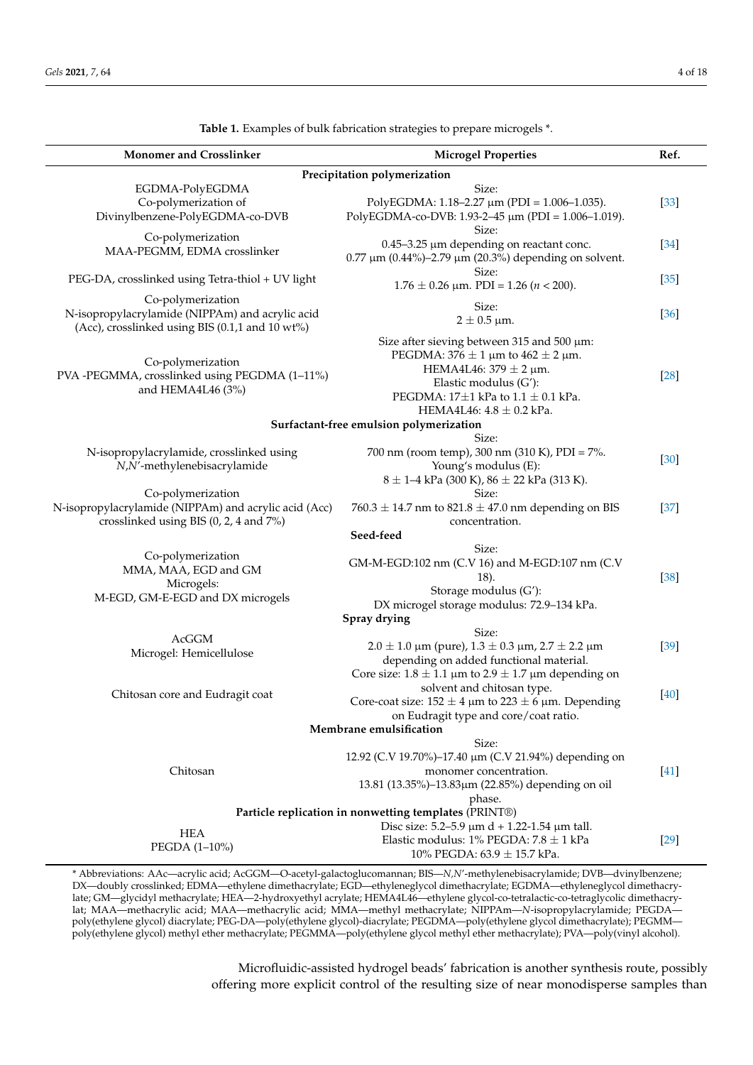<span id="page-3-0"></span>

| <b>Monomer and Crosslinker</b>                                                                                            | <b>Microgel Properties</b>                                        | Ref.   |  |  |  |
|---------------------------------------------------------------------------------------------------------------------------|-------------------------------------------------------------------|--------|--|--|--|
| Precipitation polymerization                                                                                              |                                                                   |        |  |  |  |
| EGDMA-PolyEGDMA                                                                                                           | Size:                                                             |        |  |  |  |
| Co-polymerization of                                                                                                      | PolyEGDMA: $1.18-2.27 \mu m$ (PDI = $1.006-1.035$ ).              | $[33]$ |  |  |  |
| Divinylbenzene-PolyEGDMA-co-DVB                                                                                           | PolyEGDMA-co-DVB: 1.93-2-45 μm (PDI = 1.006-1.019).               |        |  |  |  |
| Co-polymerization                                                                                                         | Size:                                                             |        |  |  |  |
| MAA-PEGMM, EDMA crosslinker                                                                                               | $0.45 - 3.25$ µm depending on reactant conc.                      | $[34]$ |  |  |  |
|                                                                                                                           | $0.77 \,\mu m$ (0.44%)-2.79 $\mu m$ (20.3%) depending on solvent. |        |  |  |  |
| PEG-DA, crosslinked using Tetra-thiol + UV light                                                                          | Size:                                                             | $[35]$ |  |  |  |
|                                                                                                                           | $1.76 \pm 0.26$ µm. PDI = 1.26 ( <i>n</i> < 200).                 |        |  |  |  |
| Co-polymerization                                                                                                         | Size:                                                             |        |  |  |  |
| N-isopropylacrylamide (NIPPAm) and acrylic acid                                                                           | $2 \pm 0.5$ µm.                                                   | $[36]$ |  |  |  |
| (Acc), crosslinked using BIS (0.1,1 and 10 wt%)                                                                           |                                                                   |        |  |  |  |
|                                                                                                                           | Size after sieving between 315 and 500 $\mu$ m:                   |        |  |  |  |
| Co-polymerization                                                                                                         | PEGDMA: $376 \pm 1$ µm to $462 \pm 2$ µm.                         |        |  |  |  |
| PVA -PEGMMA, crosslinked using PEGDMA (1-11%)                                                                             | HEMA4L46: $379 \pm 2$ µm.                                         | $[28]$ |  |  |  |
| and HEMA4L46 (3%)                                                                                                         | Elastic modulus (G'):                                             |        |  |  |  |
|                                                                                                                           | PEGDMA: $17\pm1$ kPa to $1.1 \pm 0.1$ kPa.                        |        |  |  |  |
|                                                                                                                           | HEMA4L46: $4.8 \pm 0.2$ kPa.                                      |        |  |  |  |
|                                                                                                                           | Surfactant-free emulsion polymerization                           |        |  |  |  |
|                                                                                                                           | Size:                                                             |        |  |  |  |
| N-isopropylacrylamide, crosslinked using                                                                                  | 700 nm (room temp), 300 nm (310 K), PDI = 7%.                     | $[30]$ |  |  |  |
| N,N'-methylenebisacrylamide                                                                                               | Young's modulus (E):                                              |        |  |  |  |
|                                                                                                                           | $8 \pm 1 - 4$ kPa (300 K), $86 \pm 22$ kPa (313 K).               |        |  |  |  |
| Co-polymerization                                                                                                         | Size:                                                             |        |  |  |  |
| N-isopropylacrylamide (NIPPAm) and acrylic acid (Acc)                                                                     | 760.3 $\pm$ 14.7 nm to 821.8 $\pm$ 47.0 nm depending on BIS       | $[37]$ |  |  |  |
| crosslinked using BIS (0, 2, 4 and 7%)                                                                                    | concentration.                                                    |        |  |  |  |
|                                                                                                                           | Seed-feed                                                         |        |  |  |  |
| Co-polymerization                                                                                                         | Size:                                                             |        |  |  |  |
| MMA, MAA, EGD and GM                                                                                                      | GM-M-EGD:102 nm (C.V 16) and M-EGD:107 nm (C.V                    |        |  |  |  |
| Microgels:                                                                                                                | 18).                                                              | $[38]$ |  |  |  |
| M-EGD, GM-E-EGD and DX microgels                                                                                          | Storage modulus (G'):                                             |        |  |  |  |
|                                                                                                                           | DX microgel storage modulus: 72.9-134 kPa.                        |        |  |  |  |
|                                                                                                                           | Spray drying                                                      |        |  |  |  |
| AcGGM                                                                                                                     | Size:                                                             |        |  |  |  |
| Microgel: Hemicellulose                                                                                                   | $2.0 \pm 1.0$ µm (pure), $1.3 \pm 0.3$ µm, $2.7 \pm 2.2$ µm       | [39]   |  |  |  |
|                                                                                                                           | depending on added functional material.                           |        |  |  |  |
|                                                                                                                           | Core size: $1.8 \pm 1.1$ µm to $2.9 \pm 1.7$ µm depending on      |        |  |  |  |
| Chitosan core and Eudragit coat                                                                                           | solvent and chitosan type.                                        | [40]   |  |  |  |
|                                                                                                                           | Core-coat size: $152 \pm 4$ µm to $223 \pm 6$ µm. Depending       |        |  |  |  |
|                                                                                                                           | on Eudragit type and core/coat ratio.<br>Membrane emulsification  |        |  |  |  |
|                                                                                                                           | Size:                                                             |        |  |  |  |
|                                                                                                                           | 12.92 (C.V 19.70%)-17.40 μm (C.V 21.94%) depending on             |        |  |  |  |
| Chitosan                                                                                                                  | monomer concentration.                                            |        |  |  |  |
|                                                                                                                           | 13.81 (13.35%)–13.83μm (22.85%) depending on oil                  | $[41]$ |  |  |  |
|                                                                                                                           |                                                                   |        |  |  |  |
| phase.<br>Particle replication in nonwetting templates (PRINT®)                                                           |                                                                   |        |  |  |  |
|                                                                                                                           | Disc size: 5.2-5.9 $\mu$ m d + 1.22-1.54 $\mu$ m tall.            |        |  |  |  |
| <b>HEA</b>                                                                                                                | Elastic modulus: 1% PEGDA: $7.8 \pm 1$ kPa                        | $[29]$ |  |  |  |
| PEGDA (1-10%)                                                                                                             | 10% PEGDA: 63.9 ± 15.7 kPa.                                       |        |  |  |  |
| * Abbreviations: AAc—acrylic acid; AcGGM—O-acetyl-galactoglucomannan; BIS—N,N'-methylenebisacrylamide; DVB—dvinylbenzene; |                                                                   |        |  |  |  |

**Table 1.** Examples of bulk fabrication strategies to prepare microgels \*.

late; GM—glycidyl methacrylate; HEA—2-hydroxyethyl acrylate; HEMA4L46—ethylene glycol-co-tetralactic-co-tetraglycolic dimethacrylat; MAA—methacrylic acid; MAA—methacrylic acid; MMA—methyl methacrylate; NIPPAm—*N*-isopropylacrylamide; PEGDA poly(ethylene glycol) diacrylate; PEG-DA—poly(ethylene glycol)-diacrylate; PEGDMA—poly(ethylene glycol dimethacrylate); PEGMM poly(ethylene glycol) methyl ether methacrylate; PEGMMA—poly(ethylene glycol methyl ether methacrylate); PVA—poly(vinyl alcohol).

DX—doubly crosslinked; EDMA—ethylene dimethacrylate; EGD—ethyleneglycol dimethacrylate; EGDMA—ethyleneglycol dimethacry-

Microfluidic-assisted hydrogel beads' fabrication is another synthesis route, possibly offering more explicit control of the resulting size of near monodisperse samples than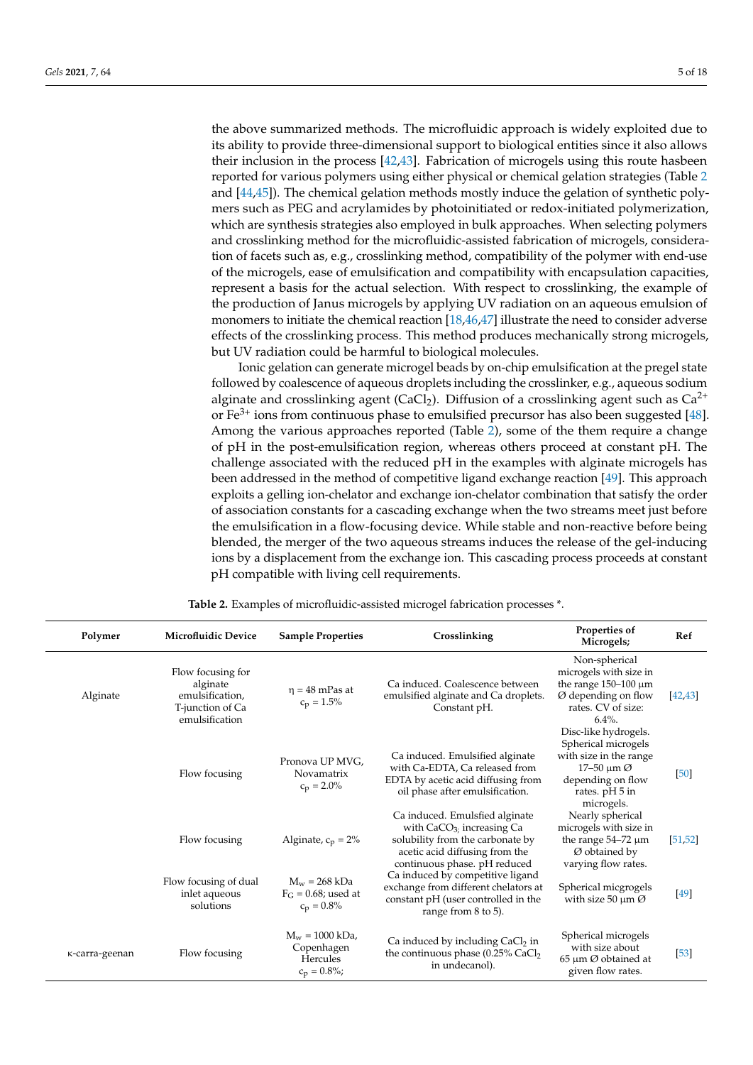the above summarized methods. The microfluidic approach is widely exploited due to its ability to provide three-dimensional support to biological entities since it also allows their inclusion in the process [\[42,](#page-15-11)[43\]](#page-15-12). Fabrication of microgels using this route hasbeen reported for various polymers using either physical or chemical gelation strategies (Table [2](#page-5-0) and [\[44](#page-15-13)[,45\]](#page-15-14)). The chemical gelation methods mostly induce the gelation of synthetic polymers such as PEG and acrylamides by photoinitiated or redox-initiated polymerization, which are synthesis strategies also employed in bulk approaches. When selecting polymers and crosslinking method for the microfluidic-assisted fabrication of microgels, consideration of facets such as, e.g., crosslinking method, compatibility of the polymer with end-use of the microgels, ease of emulsification and compatibility with encapsulation capacities, represent a basis for the actual selection. With respect to crosslinking, the example of the production of Janus microgels by applying UV radiation on an aqueous emulsion of monomers to initiate the chemical reaction [\[18,](#page-14-24)[46](#page-15-15)[,47\]](#page-15-16) illustrate the need to consider adverse effects of the crosslinking process. This method produces mechanically strong microgels, but UV radiation could be harmful to biological molecules.

Ionic gelation can generate microgel beads by on-chip emulsification at the pregel state followed by coalescence of aqueous droplets including the crosslinker, e.g., aqueous sodium alginate and crosslinking agent (CaCl<sub>2</sub>). Diffusion of a crosslinking agent such as  $Ca^{2+}$ or  $Fe<sup>3+</sup>$  ions from continuous phase to emulsified precursor has also been suggested [\[48\]](#page-15-17). Among the various approaches reported (Table [2\)](#page-5-0), some of the them require a change of pH in the post-emulsification region, whereas others proceed at constant pH. The challenge associated with the reduced pH in the examples with alginate microgels has been addressed in the method of competitive ligand exchange reaction [\[49\]](#page-15-18). This approach exploits a gelling ion-chelator and exchange ion-chelator combination that satisfy the order of association constants for a cascading exchange when the two streams meet just before the emulsification in a flow-focusing device. While stable and non-reactive before being blended, the merger of the two aqueous streams induces the release of the gel-inducing ions by a displacement from the exchange ion. This cascading process proceeds at constant pH compatible with living cell requirements.

| Polymer        | <b>Microfluidic Device</b>                                                             | <b>Sample Properties</b>                                      | Crosslinking                                                                                                                                                         | Properties of<br>Microgels;                                                                                                                             | Ref      |
|----------------|----------------------------------------------------------------------------------------|---------------------------------------------------------------|----------------------------------------------------------------------------------------------------------------------------------------------------------------------|---------------------------------------------------------------------------------------------------------------------------------------------------------|----------|
| Alginate       | Flow focusing for<br>alginate<br>emulsification,<br>T-junction of Ca<br>emulsification | $\eta = 48$ mPas at<br>$c_p = 1.5\%$                          | Ca induced. Coalescence between<br>emulsified alginate and Ca droplets.<br>Constant pH.                                                                              | Non-spherical<br>microgels with size in<br>the range $150-100 \mu m$<br>$Ø$ depending on flow<br>rates. CV of size:<br>$6.4\%$ .                        | [42, 43] |
|                | Flow focusing                                                                          | Pronova UP MVG,<br>Novamatrix<br>$c_p = 2.0\%$                | Ca induced. Emulsified alginate<br>with Ca-EDTA, Ca released from<br>EDTA by acetic acid diffusing from<br>oil phase after emulsification.                           | Disc-like hydrogels.<br>Spherical microgels<br>with size in the range<br>$17-50 \mu m \varnothing$<br>depending on flow<br>rates. pH 5 in<br>microgels. | [50]     |
|                | Flow focusing                                                                          | Alginate, $c_p = 2\%$                                         | Ca induced. Emulsfied alginate<br>with $CaCO3$ ; increasing Ca<br>solubility from the carbonate by<br>acetic acid diffusing from the<br>continuous phase. pH reduced | Nearly spherical<br>microgels with size in<br>the range $54-72 \mu m$<br>Ø obtained by<br>varying flow rates.                                           | [51, 52] |
|                | Flow focusing of dual<br>inlet aqueous<br>solutions                                    | $M_w = 268$ kDa<br>$F_G$ = 0.68; used at<br>$c_p = 0.8\%$     | Ca induced by competitive ligand<br>exchange from different chelators at<br>constant pH (user controlled in the<br>range from 8 to 5).                               | Spherical micgrogels<br>with size 50 $\mu$ m Ø                                                                                                          | [49]     |
| K-carra-geenan | Flow focusing                                                                          | $M_w = 1000$ kDa,<br>Copenhagen<br>Hercules<br>$c_p = 0.8\%;$ | Ca induced by including $CaCl2$ in<br>the continuous phase (0.25% CaCl <sub>2</sub><br>in undecanol).                                                                | Spherical microgels<br>with size about<br>$65 \mu m \varnothing$ obtained at<br>given flow rates.                                                       | $[53]$   |

**Table 2.** Examples of microfluidic-assisted microgel fabrication processes \*.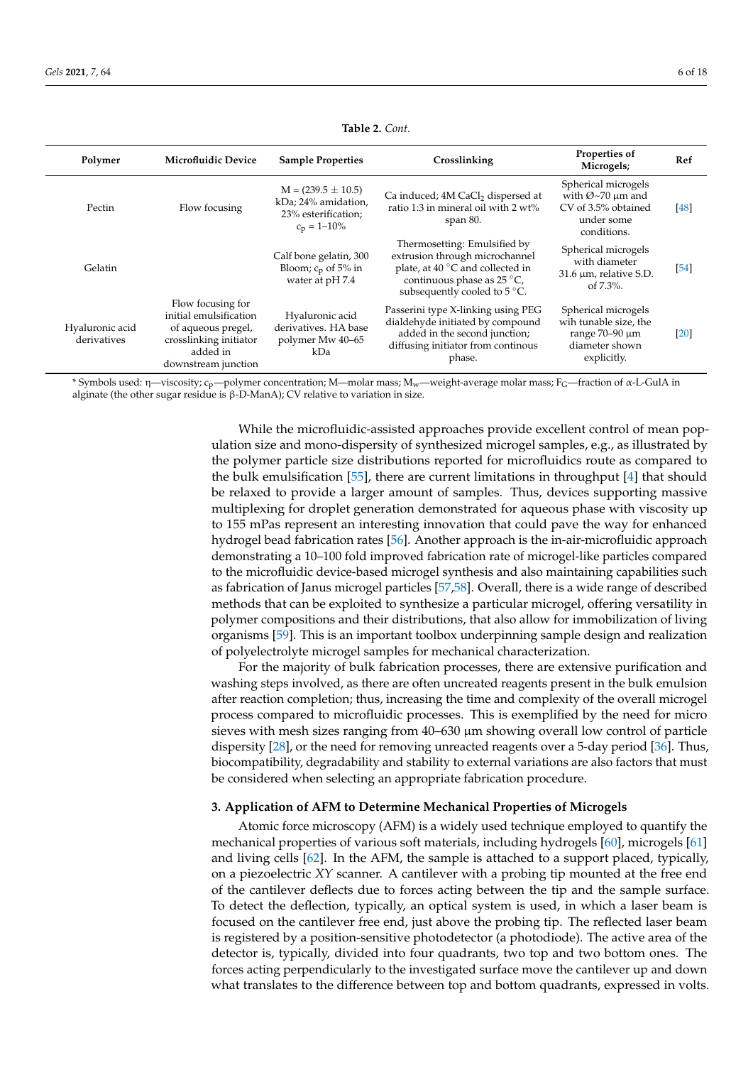<span id="page-5-0"></span>

| Polymer                        | <b>Microfluidic Device</b>                                                                                                     | <b>Sample Properties</b>                                                                 | Crosslinking                                                                                                                                                     | Properties of<br>Microgels;                                                                          | Ref    |
|--------------------------------|--------------------------------------------------------------------------------------------------------------------------------|------------------------------------------------------------------------------------------|------------------------------------------------------------------------------------------------------------------------------------------------------------------|------------------------------------------------------------------------------------------------------|--------|
| Pectin                         | Flow focusing                                                                                                                  | $M = (239.5 \pm 10.5)$<br>kDa; 24% amidation,<br>23% esterification;<br>$c_p = 1 - 10\%$ | Ca induced; 4M CaCl <sub>2</sub> dispersed at<br>ratio 1:3 in mineral oil with 2 wt%<br>span $80$ .                                                              | Spherical microgels<br>with $Ø~70 \mu m$ and<br>CV of 3.5% obtained<br>under some<br>conditions.     | [48]   |
| Gelatin                        |                                                                                                                                | Calf bone gelatin, 300<br>Bloom; $c_p$ of 5% in<br>water at pH 7.4                       | Thermosetting: Emulsified by<br>extrusion through microchannel<br>plate, at 40 °C and collected in<br>continuous phase as 25 °C,<br>subsequently cooled to 5 °C. | Spherical microgels<br>with diameter<br>31.6 µm, relative S.D.<br>of $7.3\%$ .                       | $[54]$ |
| Hyaluronic acid<br>derivatives | Flow focusing for<br>initial emulsification<br>of aqueous pregel,<br>crosslinking initiator<br>added in<br>downstream junction | Hyaluronic acid<br>derivatives. HA base<br>polymer Mw 40–65<br>kDa                       | Passerini type X-linking using PEG<br>dialdehyde initiated by compound<br>added in the second junction;<br>diffusing initiator from continous<br>phase.          | Spherical microgels<br>wih tunable size, the<br>range $70-90 \mu m$<br>diameter shown<br>explicitly. | [20]   |

**Table 2.** *Cont.*

\* Symbols used: η—viscosity; c<sub>p</sub>—polymer concentration; M—molar mass; M<sub>w</sub>—weight-average molar mass; F<sub>G</sub>—fraction of α-L-GulA in alginate (the other sugar residue is β-D-ManA); CV relative to variation in size.

> While the microfluidic-assisted approaches provide excellent control of mean population size and mono-dispersity of synthesized microgel samples, e.g., as illustrated by the polymer particle size distributions reported for microfluidics route as compared to the bulk emulsification [\[55\]](#page-15-24), there are current limitations in throughput [\[4\]](#page-14-25) that should be relaxed to provide a larger amount of samples. Thus, devices supporting massive multiplexing for droplet generation demonstrated for aqueous phase with viscosity up to 155 mPas represent an interesting innovation that could pave the way for enhanced hydrogel bead fabrication rates [\[56\]](#page-15-25). Another approach is the in-air-microfluidic approach demonstrating a 10–100 fold improved fabrication rate of microgel-like particles compared to the microfluidic device-based microgel synthesis and also maintaining capabilities such as fabrication of Janus microgel particles [\[57,](#page-15-26)[58\]](#page-16-0). Overall, there is a wide range of described methods that can be exploited to synthesize a particular microgel, offering versatility in polymer compositions and their distributions, that also allow for immobilization of living organisms [\[59\]](#page-16-1). This is an important toolbox underpinning sample design and realization of polyelectrolyte microgel samples for mechanical characterization.

> For the majority of bulk fabrication processes, there are extensive purification and washing steps involved, as there are often uncreated reagents present in the bulk emulsion after reaction completion; thus, increasing the time and complexity of the overall microgel process compared to microfluidic processes. This is exemplified by the need for micro sieves with mesh sizes ranging from  $40-630 \mu m$  showing overall low control of particle dispersity [\[28\]](#page-14-21), or the need for removing unreacted reagents over a 5-day period [\[36\]](#page-15-5). Thus, biocompatibility, degradability and stability to external variations are also factors that must be considered when selecting an appropriate fabrication procedure.

## **3. Application of AFM to Determine Mechanical Properties of Microgels**

Atomic force microscopy (AFM) is a widely used technique employed to quantify the mechanical properties of various soft materials, including hydrogels [\[60\]](#page-16-2), microgels [\[61\]](#page-16-3) and living cells [\[62\]](#page-16-4). In the AFM, the sample is attached to a support placed, typically, on a piezoelectric *XY* scanner. A cantilever with a probing tip mounted at the free end of the cantilever deflects due to forces acting between the tip and the sample surface. To detect the deflection, typically, an optical system is used, in which a laser beam is focused on the cantilever free end, just above the probing tip. The reflected laser beam is registered by a position-sensitive photodetector (a photodiode). The active area of the detector is, typically, divided into four quadrants, two top and two bottom ones. The forces acting perpendicularly to the investigated surface move the cantilever up and down what translates to the difference between top and bottom quadrants, expressed in volts.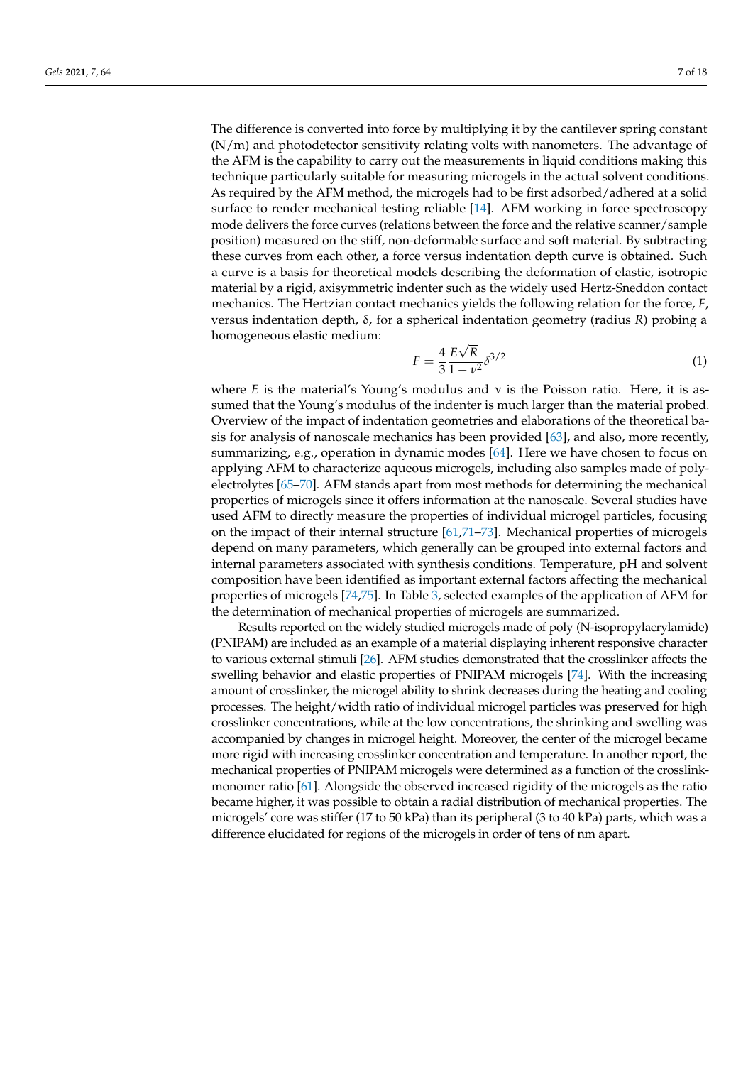The difference is converted into force by multiplying it by the cantilever spring constant (N/m) and photodetector sensitivity relating volts with nanometers. The advantage of the AFM is the capability to carry out the measurements in liquid conditions making this technique particularly suitable for measuring microgels in the actual solvent conditions. As required by the AFM method, the microgels had to be first adsorbed/adhered at a solid surface to render mechanical testing reliable [\[14\]](#page-14-9). AFM working in force spectroscopy mode delivers the force curves (relations between the force and the relative scanner/sample position) measured on the stiff, non-deformable surface and soft material. By subtracting these curves from each other, a force versus indentation depth curve is obtained. Such a curve is a basis for theoretical models describing the deformation of elastic, isotropic material by a rigid, axisymmetric indenter such as the widely used Hertz-Sneddon contact mechanics. The Hertzian contact mechanics yields the following relation for the force, *F*, versus indentation depth, δ, for a spherical indentation geometry (radius *R*) probing a homogeneous elastic medium: √

$$
F = \frac{4}{3} \frac{E\sqrt{R}}{1 - \nu^2} \delta^{3/2}
$$
\n<sup>(1)</sup>

where *E* is the material's Young's modulus and  $\nu$  is the Poisson ratio. Here, it is assumed that the Young's modulus of the indenter is much larger than the material probed. Overview of the impact of indentation geometries and elaborations of the theoretical basis for analysis of nanoscale mechanics has been provided [\[63\]](#page-16-5), and also, more recently, summarizing, e.g., operation in dynamic modes [\[64\]](#page-16-6). Here we have chosen to focus on applying AFM to characterize aqueous microgels, including also samples made of polyelectrolytes [\[65](#page-16-7)[–70\]](#page-16-8). AFM stands apart from most methods for determining the mechanical properties of microgels since it offers information at the nanoscale. Several studies have used AFM to directly measure the properties of individual microgel particles, focusing on the impact of their internal structure [\[61](#page-16-3)[,71](#page-16-9)[–73\]](#page-16-10). Mechanical properties of microgels depend on many parameters, which generally can be grouped into external factors and internal parameters associated with synthesis conditions. Temperature, pH and solvent composition have been identified as important external factors affecting the mechanical properties of microgels [\[74,](#page-16-11)[75\]](#page-16-12). In Table [3,](#page-7-0) selected examples of the application of AFM for the determination of mechanical properties of microgels are summarized.

Results reported on the widely studied microgels made of poly (N-isopropylacrylamide) (PNIPAM) are included as an example of a material displaying inherent responsive character to various external stimuli [\[26\]](#page-14-19). AFM studies demonstrated that the crosslinker affects the swelling behavior and elastic properties of PNIPAM microgels [\[74\]](#page-16-11). With the increasing amount of crosslinker, the microgel ability to shrink decreases during the heating and cooling processes. The height/width ratio of individual microgel particles was preserved for high crosslinker concentrations, while at the low concentrations, the shrinking and swelling was accompanied by changes in microgel height. Moreover, the center of the microgel became more rigid with increasing crosslinker concentration and temperature. In another report, the mechanical properties of PNIPAM microgels were determined as a function of the crosslinkmonomer ratio [\[61\]](#page-16-3). Alongside the observed increased rigidity of the microgels as the ratio became higher, it was possible to obtain a radial distribution of mechanical properties. The microgels' core was stiffer (17 to 50 kPa) than its peripheral (3 to 40 kPa) parts, which was a difference elucidated for regions of the microgels in order of tens of nm apart.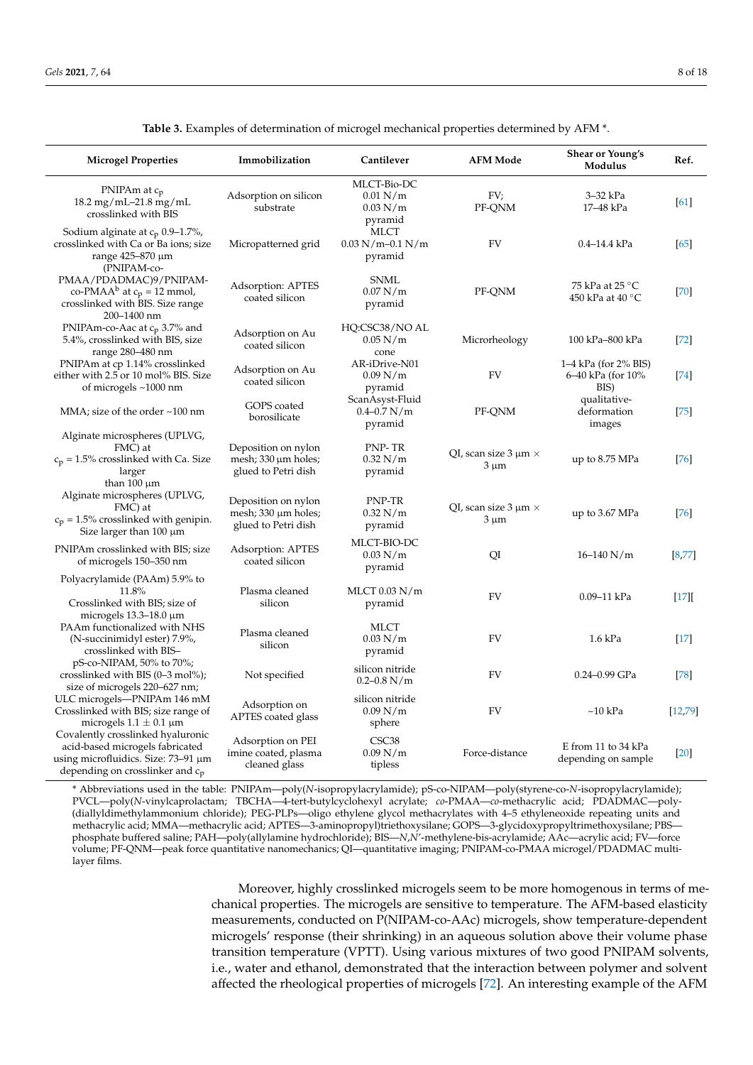<span id="page-7-0"></span>

| <b>Microgel Properties</b>                                                                                                                                      | Immobilization                                                         | Cantilever                                     | <b>AFM Mode</b>                             | <b>Shear or Young's</b><br>Modulus                | Ref.     |
|-----------------------------------------------------------------------------------------------------------------------------------------------------------------|------------------------------------------------------------------------|------------------------------------------------|---------------------------------------------|---------------------------------------------------|----------|
| PNIPAm at $c_p$<br>$18.2 \,\mathrm{mg/mL}$ -21.8 mg/mL<br>crosslinked with BIS                                                                                  | Adsorption on silicon<br>substrate                                     | MLCT-Bio-DC<br>0.01 N/m<br>0.03 N/m<br>pyramid | FV;<br>PF-QNM                               | 3-32 kPa<br>17-48 kPa                             | [61]     |
| Sodium alginate at $c_p$ 0.9–1.7%,<br>crosslinked with Ca or Ba ions; size<br>range 425-870 µm<br>(PNIPAM-co-                                                   | Micropatterned grid                                                    | MLCT<br>$0.03$ N/m-0.1 N/m<br>pyramid          | <b>FV</b>                                   | $0.4 - 14.4$ kPa                                  | [65]     |
| PMAA/PDADMAC)9/PNIPAM-<br>co-PMAA <sup>b</sup> at $c_p = 12$ mmol,<br>crosslinked with BIS. Size range<br>200-1400 nm                                           | Adsorption: APTES<br>coated silicon                                    | <b>SNML</b><br>0.07 N/m<br>pyramid             | PF-QNM                                      | 75 kPa at 25 °C<br>450 kPa at 40 °C               | $[70]$   |
| PNIPAm-co-Aac at $c_p$ 3.7% and<br>5.4%, crosslinked with BIS, size<br>range 280-480 nm                                                                         | Adsorption on Au<br>coated silicon                                     | HQ:CSC38/NO AL<br>0.05 N/m<br>cone             | Microrheology                               | 100 kPa-800 kPa                                   | $[72]$   |
| PNIPAm at cp 1.14% crosslinked<br>either with 2.5 or 10 mol% BIS. Size<br>of microgels $\sim$ 1000 nm                                                           | Adsorption on Au<br>coated silicon                                     | AR-iDrive-N01<br>0.09 N/m<br>pyramid           | <b>FV</b>                                   | 1–4 kPa (for 2% BIS)<br>6–40 kPa (for 10%<br>BIS) | [74]     |
| MMA; size of the order $\sim$ 100 nm                                                                                                                            | GOPS coated<br>borosilicate                                            | ScanAsyst-Fluid<br>$0.4 - 0.7$ N/m<br>pyramid  | PF-QNM                                      | qualitative-<br>deformation<br>images             | $[75]$   |
| Alginate microspheres (UPLVG,<br>FMC) at<br>$c_p = 1.5\%$ crosslinked with Ca. Size<br>larger<br>than $100 \mu m$                                               | Deposition on nylon<br>mesh; $330 \mu m$ holes;<br>glued to Petri dish | PNP-TR<br>0.32 N/m<br>pyramid                  | QI, scan size $3 \mu m \times$<br>$3 \mu m$ | up to $8.75$ MPa                                  | $[76]$   |
| Alginate microspheres (UPLVG,<br>FMC) at<br>$c_p = 1.5\%$ crosslinked with genipin.<br>Size larger than $100 \mu m$                                             | Deposition on nylon<br>mesh; $330 \mu m$ holes;<br>glued to Petri dish | PNP-TR<br>0.32 N/m<br>pyramid                  | QI, scan size $3 \mu m \times$<br>$3 \mu m$ | up to 3.67 MPa                                    | [76]     |
| PNIPAm crosslinked with BIS; size<br>of microgels 150–350 nm                                                                                                    | Adsorption: APTES<br>coated silicon                                    | MLCT-BIO-DC<br>0.03 N/m<br>pyramid             | QI                                          | $16 - 140$ N/m                                    | $[8,77]$ |
| Polyacrylamide (PAAm) 5.9% to<br>11.8%<br>Crosslinked with BIS; size of<br>microgels $13.3-18.0 \mu m$                                                          | Plasma cleaned<br>silicon                                              | MLCT $0.03$ N/m<br>pyramid                     | <b>FV</b>                                   | 0.09-11 kPa                                       | [17]     |
| PAAm functionalized with NHS<br>(N-succinimidyl ester) 7.9%,<br>crosslinked with BIS-                                                                           | Plasma cleaned<br>silicon                                              | <b>MLCT</b><br>0.03 N/m<br>pyramid             | <b>FV</b>                                   | $1.6$ kPa                                         | $[17]$   |
| pS-co-NIPAM, 50% to 70%;<br>crosslinked with BIS (0-3 mol%);<br>size of microgels 220–627 nm;                                                                   | Not specified                                                          | silicon nitride<br>$0.2 - 0.8$ N/m             | <b>FV</b>                                   | $0.24 - 0.99$ GPa                                 | $[78]$   |
| ULC microgels-PNIPAm 146 mM<br>Crosslinked with BIS; size range of<br>microgels $1.1 \pm 0.1$ µm                                                                | Adsorption on<br>APTES coated glass                                    | silicon nitride<br>0.09 N/m<br>sphere          | <b>FV</b>                                   | $~10$ kPa                                         | [12, 79] |
| Covalently crosslinked hyaluronic<br>acid-based microgels fabricated<br>using microfluidics. Size: $73-91 \mu m$<br>depending on crosslinker and c <sub>p</sub> | Adsorption on PEI<br>imine coated, plasma<br>cleaned glass             | CSC <sub>38</sub><br>0.09 N/m<br>tipless       | Force-distance                              | E from 11 to 34 kPa<br>depending on sample        | $[20]$   |

**Table 3.** Examples of determination of microgel mechanical properties determined by AFM \*.

\* Abbreviations used in the table: PNIPAm—poly(*N*-isopropylacrylamide); pS-co-NIPAM—poly(styrene-co-*N*-isopropylacrylamide); PVCL—poly(*N*-vinylcaprolactam; TBCHA—4-tert-butylcyclohexyl acrylate; *co*-PMAA—*co*-methacrylic acid; PDADMAC—poly- (diallyldimethylammonium chloride); PEG-PLPs—oligo ethylene glycol methacrylates with 4–5 ethyleneoxide repeating units and methacrylic acid; MMA—methacrylic acid; APTES—3-aminopropyl)triethoxysilane; GOPS—3-glycidoxypropyltrimethoxysilane; PBS phosphate buffered saline; PAH—poly(allylamine hydrochloride); BIS—*N*,*N*'-methylene-bis-acrylamide; AAc—acrylic acid; FV—force volume; PF-QNM—peak force quantitative nanomechanics; QI—quantitative imaging; PNIPAM-co-PMAA microgel/PDADMAC multilayer films.

> Moreover, highly crosslinked microgels seem to be more homogenous in terms of mechanical properties. The microgels are sensitive to temperature. The AFM-based elasticity measurements, conducted on P(NIPAM-co-AAc) microgels, show temperature-dependent microgels' response (their shrinking) in an aqueous solution above their volume phase transition temperature (VPTT). Using various mixtures of two good PNIPAM solvents, i.e., water and ethanol, demonstrated that the interaction between polymer and solvent affected the rheological properties of microgels [\[72\]](#page-16-13). An interesting example of the AFM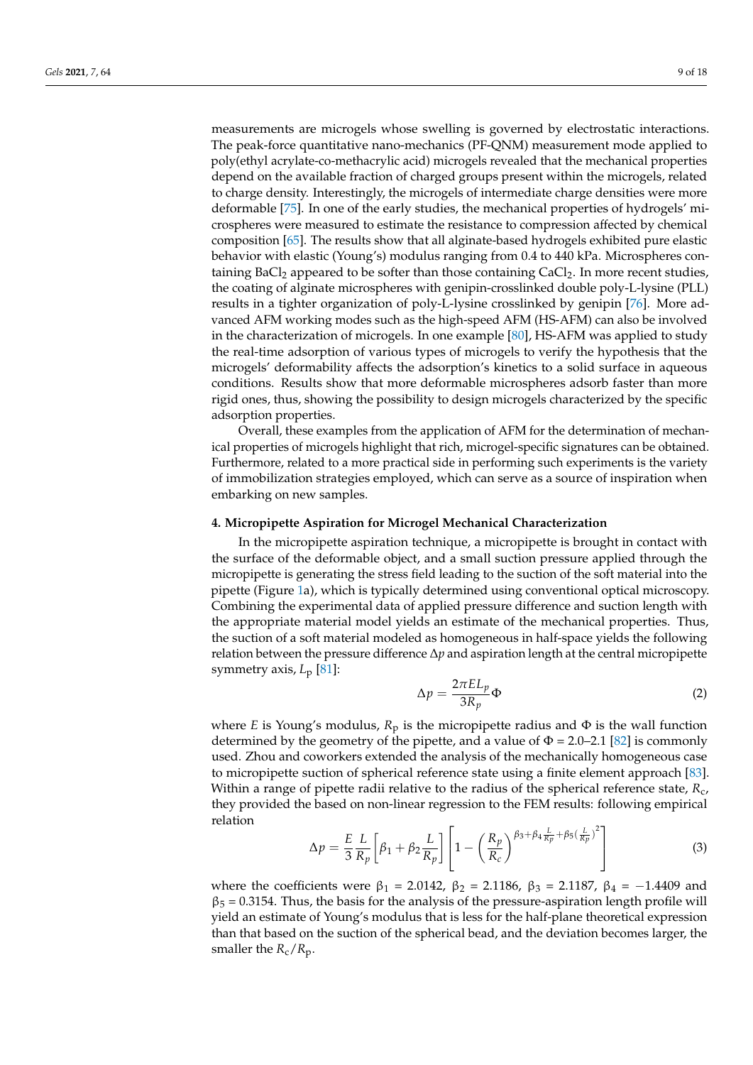measurements are microgels whose swelling is governed by electrostatic interactions. The peak-force quantitative nano-mechanics (PF-QNM) measurement mode applied to poly(ethyl acrylate-co-methacrylic acid) microgels revealed that the mechanical properties depend on the available fraction of charged groups present within the microgels, related to charge density. Interestingly, the microgels of intermediate charge densities were more deformable [\[75\]](#page-16-12). In one of the early studies, the mechanical properties of hydrogels' microspheres were measured to estimate the resistance to compression affected by chemical composition [\[65\]](#page-16-7). The results show that all alginate-based hydrogels exhibited pure elastic behavior with elastic (Young's) modulus ranging from 0.4 to 440 kPa. Microspheres containing BaCl<sub>2</sub> appeared to be softer than those containing CaCl<sub>2</sub>. In more recent studies, the coating of alginate microspheres with genipin-crosslinked double poly-L-lysine (PLL) results in a tighter organization of poly-L-lysine crosslinked by genipin [\[76\]](#page-16-14). More advanced AFM working modes such as the high-speed AFM (HS-AFM) can also be involved in the characterization of microgels. In one example [\[80\]](#page-16-18), HS-AFM was applied to study the real-time adsorption of various types of microgels to verify the hypothesis that the microgels' deformability affects the adsorption's kinetics to a solid surface in aqueous conditions. Results show that more deformable microspheres adsorb faster than more rigid ones, thus, showing the possibility to design microgels characterized by the specific adsorption properties.

Overall, these examples from the application of AFM for the determination of mechanical properties of microgels highlight that rich, microgel-specific signatures can be obtained. Furthermore, related to a more practical side in performing such experiments is the variety of immobilization strategies employed, which can serve as a source of inspiration when embarking on new samples.

#### **4. Micropipette Aspiration for Microgel Mechanical Characterization**

In the micropipette aspiration technique, a micropipette is brought in contact with the surface of the deformable object, and a small suction pressure applied through the micropipette is generating the stress field leading to the suction of the soft material into the pipette (Figure [1a](#page-1-0)), which is typically determined using conventional optical microscopy. Combining the experimental data of applied pressure difference and suction length with the appropriate material model yields an estimate of the mechanical properties. Thus, the suction of a soft material modeled as homogeneous in half-space yields the following relation between the pressure difference ∆*p* and aspiration length at the central micropipette symmetry axis, *L*<sup>p</sup> [\[81\]](#page-16-19):

$$
\Delta p = \frac{2\pi EL_p}{3R_p} \Phi
$$
 (2)

where *E* is Young's modulus,  $R_p$  is the micropipette radius and  $\Phi$  is the wall function determined by the geometry of the pipette, and a value of  $\Phi = 2.0-2.1$  [\[82\]](#page-16-20) is commonly used. Zhou and coworkers extended the analysis of the mechanically homogeneous case to micropipette suction of spherical reference state using a finite element approach [\[83\]](#page-16-21). Within a range of pipette radii relative to the radius of the spherical reference state, *R*c, they provided the based on non-linear regression to the FEM results: following empirical relation  $\ddot{\phantom{2}}$ 

$$
\Delta p = \frac{E}{3} \frac{L}{R_p} \left[ \beta_1 + \beta_2 \frac{L}{R_p} \right] \left[ 1 - \left( \frac{R_p}{R_c} \right)^{\beta_3 + \beta_4 \frac{L}{R_p} + \beta_5 \left( \frac{L}{R_p} \right)^2} \right]
$$
(3)

where the coefficients were  $\beta_1 = 2.0142$ ,  $\beta_2 = 2.1186$ ,  $\beta_3 = 2.1187$ ,  $\beta_4 = -1.4409$  and  $\beta_5 = 0.3154$ . Thus, the basis for the analysis of the pressure-aspiration length profile will yield an estimate of Young's modulus that is less for the half-plane theoretical expression than that based on the suction of the spherical bead, and the deviation becomes larger, the smaller the  $R_c/R_p$ .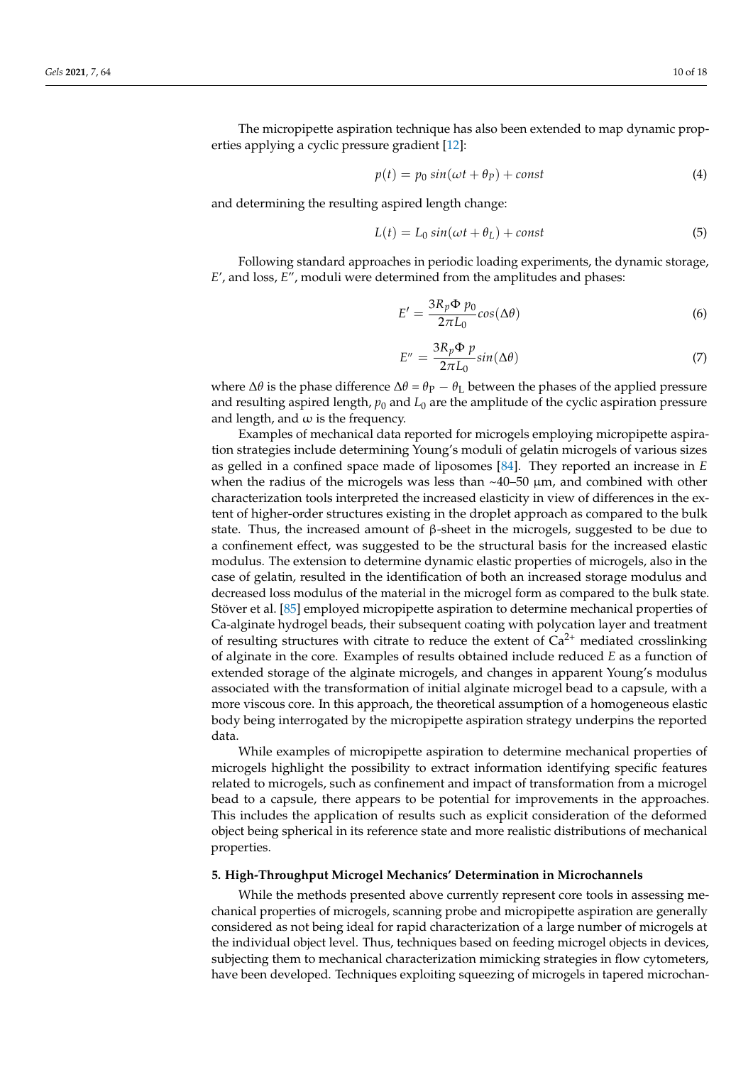The micropipette aspiration technique has also been extended to map dynamic properties applying a cyclic pressure gradient [\[12\]](#page-14-7):

$$
p(t) = p_0 \sin(\omega t + \theta_P) + const
$$
\n(4)

and determining the resulting aspired length change:

$$
L(t) = L_0 \sin(\omega t + \theta_L) + const
$$
 (5)

Following standard approaches in periodic loading experiments, the dynamic storage, *E*', and loss, *E*", moduli were determined from the amplitudes and phases:

$$
E' = \frac{3R_p \Phi p_0}{2\pi L_0} \cos(\Delta \theta)
$$
 (6)

$$
E'' = \frac{3R_p \Phi p}{2\pi L_0} sin(\Delta\theta)
$$
 (7)

where Δ*θ* is the phase difference Δ*θ* =  $θ$ <sub>P</sub> −  $θ$ <sub>L</sub> between the phases of the applied pressure and resulting aspired length,  $p_0$  and  $L_0$  are the amplitude of the cyclic aspiration pressure and length, and  $\omega$  is the frequency.

Examples of mechanical data reported for microgels employing micropipette aspiration strategies include determining Young's moduli of gelatin microgels of various sizes as gelled in a confined space made of liposomes [\[84\]](#page-16-22). They reported an increase in *E* when the radius of the microgels was less than  $\sim$ 40–50  $\mu$ m, and combined with other characterization tools interpreted the increased elasticity in view of differences in the extent of higher-order structures existing in the droplet approach as compared to the bulk state. Thus, the increased amount of  $\beta$ -sheet in the microgels, suggested to be due to a confinement effect, was suggested to be the structural basis for the increased elastic modulus. The extension to determine dynamic elastic properties of microgels, also in the case of gelatin, resulted in the identification of both an increased storage modulus and decreased loss modulus of the material in the microgel form as compared to the bulk state. Stöver et al. [\[85\]](#page-17-0) employed micropipette aspiration to determine mechanical properties of Ca-alginate hydrogel beads, their subsequent coating with polycation layer and treatment of resulting structures with citrate to reduce the extent of  $Ca^{2+}$  mediated crosslinking of alginate in the core. Examples of results obtained include reduced *E* as a function of extended storage of the alginate microgels, and changes in apparent Young's modulus associated with the transformation of initial alginate microgel bead to a capsule, with a more viscous core. In this approach, the theoretical assumption of a homogeneous elastic body being interrogated by the micropipette aspiration strategy underpins the reported data.

While examples of micropipette aspiration to determine mechanical properties of microgels highlight the possibility to extract information identifying specific features related to microgels, such as confinement and impact of transformation from a microgel bead to a capsule, there appears to be potential for improvements in the approaches. This includes the application of results such as explicit consideration of the deformed object being spherical in its reference state and more realistic distributions of mechanical properties.

### **5. High-Throughput Microgel Mechanics' Determination in Microchannels**

While the methods presented above currently represent core tools in assessing mechanical properties of microgels, scanning probe and micropipette aspiration are generally considered as not being ideal for rapid characterization of a large number of microgels at the individual object level. Thus, techniques based on feeding microgel objects in devices, subjecting them to mechanical characterization mimicking strategies in flow cytometers, have been developed. Techniques exploiting squeezing of microgels in tapered microchan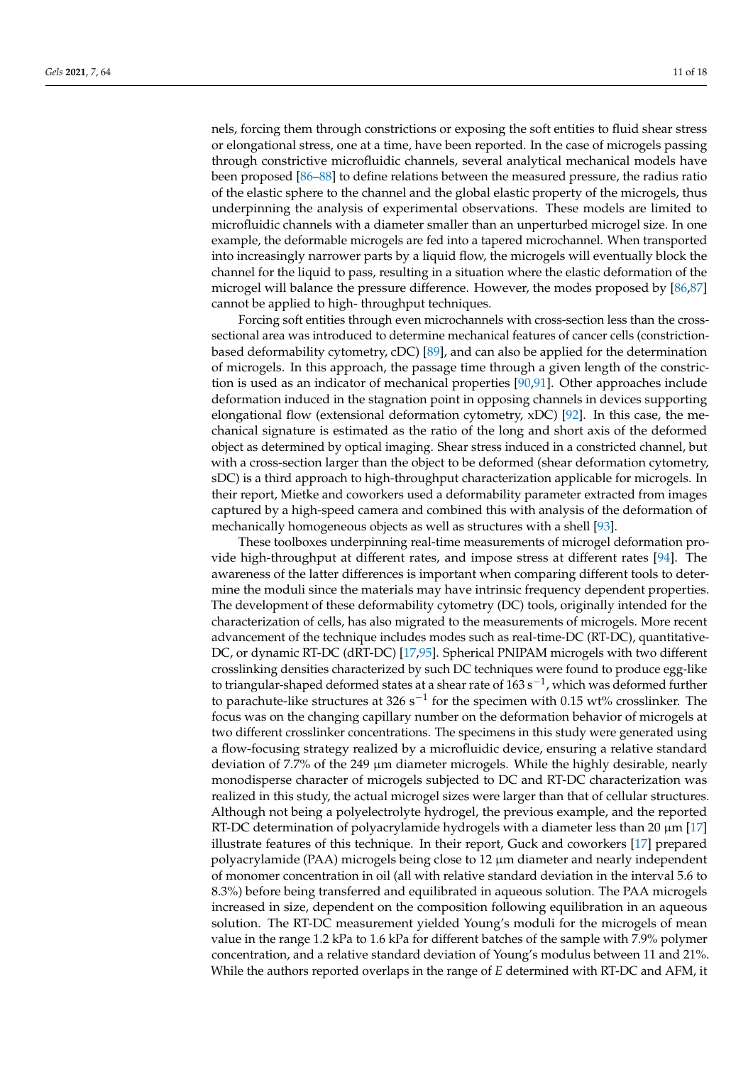nels, forcing them through constrictions or exposing the soft entities to fluid shear stress or elongational stress, one at a time, have been reported. In the case of microgels passing through constrictive microfluidic channels, several analytical mechanical models have been proposed [\[86](#page-17-1)[–88\]](#page-17-2) to define relations between the measured pressure, the radius ratio of the elastic sphere to the channel and the global elastic property of the microgels, thus underpinning the analysis of experimental observations. These models are limited to microfluidic channels with a diameter smaller than an unperturbed microgel size. In one example, the deformable microgels are fed into a tapered microchannel. When transported into increasingly narrower parts by a liquid flow, the microgels will eventually block the channel for the liquid to pass, resulting in a situation where the elastic deformation of the microgel will balance the pressure difference. However, the modes proposed by [\[86](#page-17-1)[,87\]](#page-17-3) cannot be applied to high- throughput techniques.

Forcing soft entities through even microchannels with cross-section less than the crosssectional area was introduced to determine mechanical features of cancer cells (constrictionbased deformability cytometry, cDC) [\[89\]](#page-17-4), and can also be applied for the determination of microgels. In this approach, the passage time through a given length of the constriction is used as an indicator of mechanical properties [\[90](#page-17-5)[,91\]](#page-17-6). Other approaches include deformation induced in the stagnation point in opposing channels in devices supporting elongational flow (extensional deformation cytometry, xDC) [\[92\]](#page-17-7). In this case, the mechanical signature is estimated as the ratio of the long and short axis of the deformed object as determined by optical imaging. Shear stress induced in a constricted channel, but with a cross-section larger than the object to be deformed (shear deformation cytometry, sDC) is a third approach to high-throughput characterization applicable for microgels. In their report, Mietke and coworkers used a deformability parameter extracted from images captured by a high-speed camera and combined this with analysis of the deformation of mechanically homogeneous objects as well as structures with a shell [\[93\]](#page-17-8).

These toolboxes underpinning real-time measurements of microgel deformation provide high-throughput at different rates, and impose stress at different rates [\[94\]](#page-17-9). The awareness of the latter differences is important when comparing different tools to determine the moduli since the materials may have intrinsic frequency dependent properties. The development of these deformability cytometry (DC) tools, originally intended for the characterization of cells, has also migrated to the measurements of microgels. More recent advancement of the technique includes modes such as real-time-DC (RT-DC), quantitative-DC, or dynamic RT-DC (dRT-DC) [\[17,](#page-14-11)[95\]](#page-17-10). Spherical PNIPAM microgels with two different crosslinking densities characterized by such DC techniques were found to produce egg-like to triangular-shaped deformed states at a shear rate of  $163 \text{ s}^{-1}$ , which was deformed further to parachute-like structures at 326 s<sup>-1</sup> for the specimen with 0.15 wt% crosslinker. The focus was on the changing capillary number on the deformation behavior of microgels at two different crosslinker concentrations. The specimens in this study were generated using a flow-focusing strategy realized by a microfluidic device, ensuring a relative standard deviation of 7.7% of the 249 µm diameter microgels. While the highly desirable, nearly monodisperse character of microgels subjected to DC and RT-DC characterization was realized in this study, the actual microgel sizes were larger than that of cellular structures. Although not being a polyelectrolyte hydrogel, the previous example, and the reported RT-DC determination of polyacrylamide hydrogels with a diameter less than 20 µm [\[17\]](#page-14-11) illustrate features of this technique. In their report, Guck and coworkers [\[17\]](#page-14-11) prepared polyacrylamide (PAA) microgels being close to 12 µm diameter and nearly independent of monomer concentration in oil (all with relative standard deviation in the interval 5.6 to 8.3%) before being transferred and equilibrated in aqueous solution. The PAA microgels increased in size, dependent on the composition following equilibration in an aqueous solution. The RT-DC measurement yielded Young's moduli for the microgels of mean value in the range 1.2 kPa to 1.6 kPa for different batches of the sample with 7.9% polymer concentration, and a relative standard deviation of Young's modulus between 11 and 21%. While the authors reported overlaps in the range of *E* determined with RT-DC and AFM, it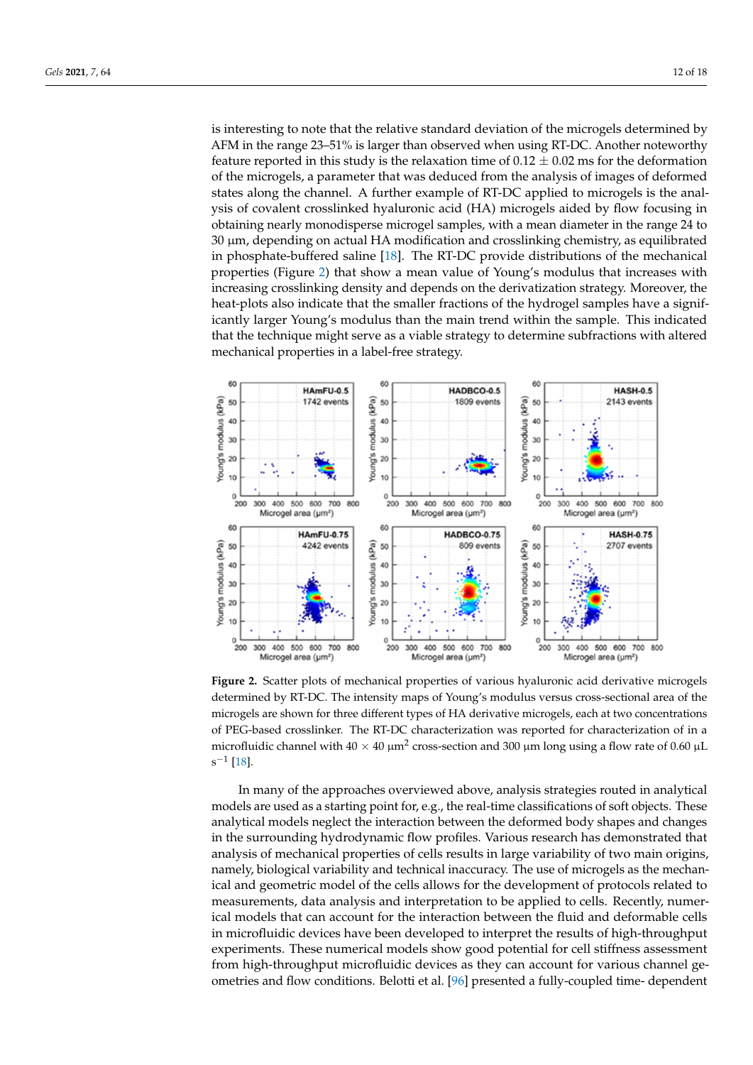is interesting to note that the relative standard deviation of the microgels determined by AFM in the range 23–51% is larger than observed when using RT-DC. Another noteworthy feature reported in this study is the relaxation time of  $0.12\pm0.02$  ms for the deformation of the microgels, a parameter that was deduced from the analysis of images of deformed states along the channel. A further example of RT-DC applied to microgels is the analysis of covalent crosslinked hyaluronic acid (HA) microgels aided by flow focusing in obtaining nearly monodisperse microgel samples, with a mean diameter in the range 24 to  $30 \mu$ m, depending on actual HA modification and crosslinking chemistry, as equilibrated in phosphate-buffered saline  $\overline{P} = \overline{P} \cdot \overline{P}$ in phosphate-buffered saline [\[18\]](#page-14-24). The RT-DC provide distributions of the mechanical properties (Figure [2\)](#page-11-0) that show a mean value of Young's modulus that increases with increasing crosslinking density and depends on the derivatization strategy. Moreover, the heat-plots also indicate that the smaller fractions of the hydrogel samples have a signifi-<br>have a significantly larger young than the main the sample. This is that the sample. This is that the same of the same of the same icantly larger Young's modulus than the main trend within the sample. This indicated in the technique might se that the technique might serve as a viable strategy to determine subfractions with altered mechanical properties in a label-free strategy.

<span id="page-11-0"></span>

**Figure 2.** Scatter plots of mechanical properties of various hyaluronic acid derivative microgels dedetermined by RT-DC. The intensity maps of Young's modulus versus cross-sectional area of the crogels are shown for three different types of HA derivative microgels, each at two concentrations microgels are shown for three different types of HA derivative microgels, each at two concentrations of PEG-based crosslinker. The RT-DC characterization was reported for characterization of in a mi-of PEG-based crosslinker. The RT-DC characterization was reported for characterization of in a microfluidic channel with  $40 \times 40 \mu m^2$  cross-section and 300  $\mu$ m long using a flow rate of 0.60  $\mu$ L **Figure 2.** Scatter plots of mechanical properties of various hyaluronic acid derivative microgels  $\rm s^{-1}$  [\[18\]](#page-14-24).

In many of the approaches overviewed above, analysis strategies routed in analytical In many of the approaches overviewed above, analysis strategies routed in analytical models are used as a starting point for, e.g., the real-time classifications of soft objects. models are used as a starting point for, e.g., the real-time classifications of soft objects. These analytical models neglect the interaction between the deformed body shapes and changes in the surrounding hydrodynamic flow profiles. Various research has demonstrated that analysis of mechanical properties of cells results in large variability of two main origins, namely, biological variability and technical inaccuracy. The use of microgels as the mechanical and geometric model of the cells allows for the development of protocols related to measurements, data analysis and interpretation to be applied to cells. Recently, numerical models that can account for the interaction between the fluid and deformable cells in microfluidic devices have been developed to interpret the results of high-throughput experiments. These numerical models show good potential for cell stiffness assessment from high-throughput microfluidic devices as they can account for various channel geometries and flow conditions. Belotti et al. [\[96\]](#page-17-11) presented a fully-coupled time- dependent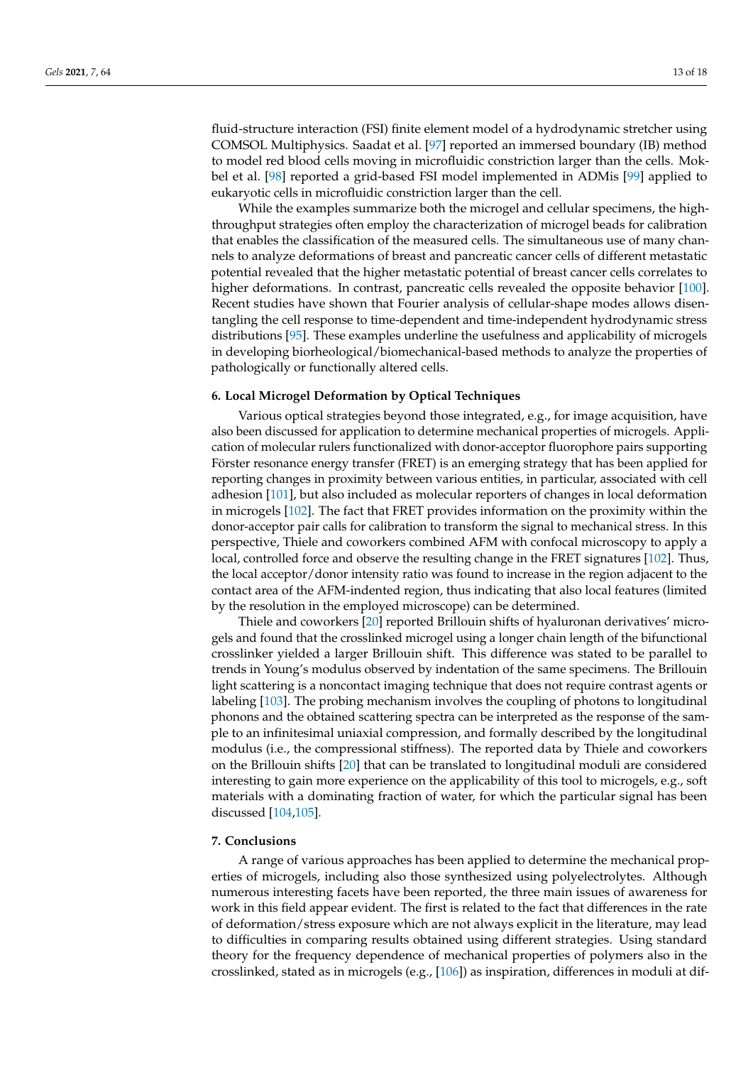fluid-structure interaction (FSI) finite element model of a hydrodynamic stretcher using COMSOL Multiphysics. Saadat et al. [\[97\]](#page-17-12) reported an immersed boundary (IB) method to model red blood cells moving in microfluidic constriction larger than the cells. Mokbel et al. [\[98\]](#page-17-13) reported a grid-based FSI model implemented in ADMis [\[99\]](#page-17-14) applied to eukaryotic cells in microfluidic constriction larger than the cell.

While the examples summarize both the microgel and cellular specimens, the highthroughput strategies often employ the characterization of microgel beads for calibration that enables the classification of the measured cells. The simultaneous use of many channels to analyze deformations of breast and pancreatic cancer cells of different metastatic potential revealed that the higher metastatic potential of breast cancer cells correlates to higher deformations. In contrast, pancreatic cells revealed the opposite behavior [\[100\]](#page-17-15). Recent studies have shown that Fourier analysis of cellular-shape modes allows disentangling the cell response to time-dependent and time-independent hydrodynamic stress distributions [\[95\]](#page-17-10). These examples underline the usefulness and applicability of microgels in developing biorheological/biomechanical-based methods to analyze the properties of pathologically or functionally altered cells.

#### **6. Local Microgel Deformation by Optical Techniques**

Various optical strategies beyond those integrated, e.g., for image acquisition, have also been discussed for application to determine mechanical properties of microgels. Application of molecular rulers functionalized with donor-acceptor fluorophore pairs supporting Förster resonance energy transfer (FRET) is an emerging strategy that has been applied for reporting changes in proximity between various entities, in particular, associated with cell adhesion [\[101\]](#page-17-16), but also included as molecular reporters of changes in local deformation in microgels [\[102\]](#page-17-17). The fact that FRET provides information on the proximity within the donor-acceptor pair calls for calibration to transform the signal to mechanical stress. In this perspective, Thiele and coworkers combined AFM with confocal microscopy to apply a local, controlled force and observe the resulting change in the FRET signatures [\[102\]](#page-17-17). Thus, the local acceptor/donor intensity ratio was found to increase in the region adjacent to the contact area of the AFM-indented region, thus indicating that also local features (limited by the resolution in the employed microscope) can be determined.

Thiele and coworkers [\[20\]](#page-14-13) reported Brillouin shifts of hyaluronan derivatives' microgels and found that the crosslinked microgel using a longer chain length of the bifunctional crosslinker yielded a larger Brillouin shift. This difference was stated to be parallel to trends in Young's modulus observed by indentation of the same specimens. The Brillouin light scattering is a noncontact imaging technique that does not require contrast agents or labeling [\[103\]](#page-17-18). The probing mechanism involves the coupling of photons to longitudinal phonons and the obtained scattering spectra can be interpreted as the response of the sample to an infinitesimal uniaxial compression, and formally described by the longitudinal modulus (i.e., the compressional stiffness). The reported data by Thiele and coworkers on the Brillouin shifts [\[20\]](#page-14-13) that can be translated to longitudinal moduli are considered interesting to gain more experience on the applicability of this tool to microgels, e.g., soft materials with a dominating fraction of water, for which the particular signal has been discussed [\[104](#page-17-19)[,105\]](#page-17-20).

## **7. Conclusions**

A range of various approaches has been applied to determine the mechanical properties of microgels, including also those synthesized using polyelectrolytes. Although numerous interesting facets have been reported, the three main issues of awareness for work in this field appear evident. The first is related to the fact that differences in the rate of deformation/stress exposure which are not always explicit in the literature, may lead to difficulties in comparing results obtained using different strategies. Using standard theory for the frequency dependence of mechanical properties of polymers also in the crosslinked, stated as in microgels (e.g., [\[106\]](#page-17-21)) as inspiration, differences in moduli at dif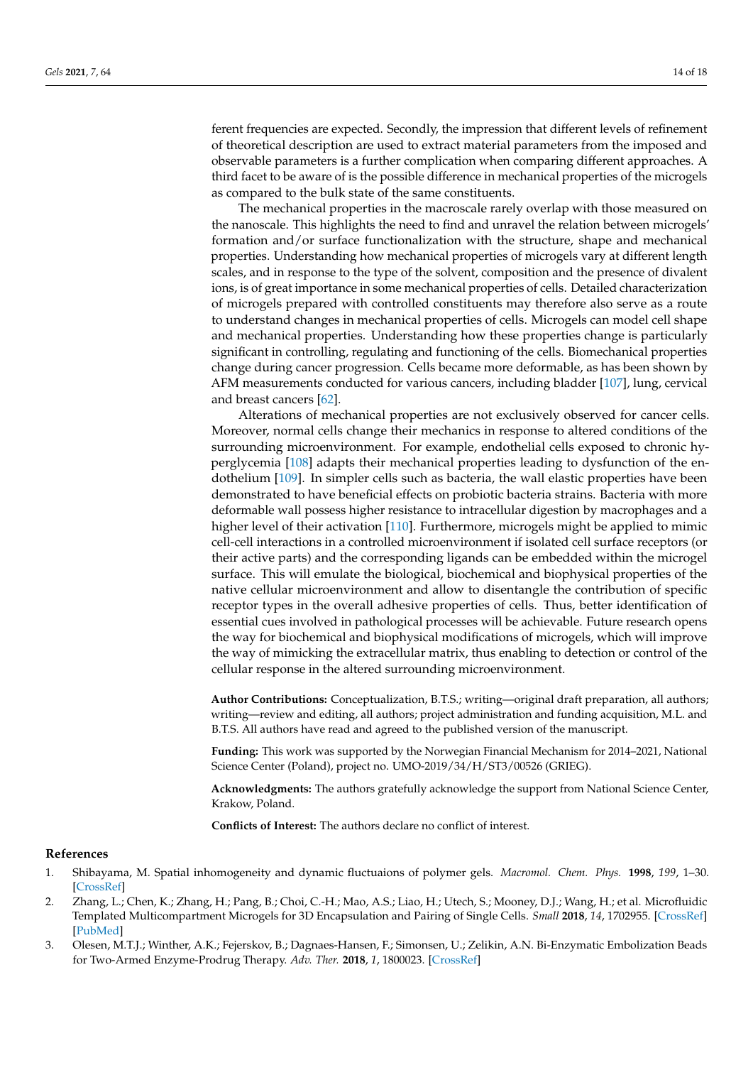ferent frequencies are expected. Secondly, the impression that different levels of refinement of theoretical description are used to extract material parameters from the imposed and observable parameters is a further complication when comparing different approaches. A third facet to be aware of is the possible difference in mechanical properties of the microgels as compared to the bulk state of the same constituents.

The mechanical properties in the macroscale rarely overlap with those measured on the nanoscale. This highlights the need to find and unravel the relation between microgels' formation and/or surface functionalization with the structure, shape and mechanical properties. Understanding how mechanical properties of microgels vary at different length scales, and in response to the type of the solvent, composition and the presence of divalent ions, is of great importance in some mechanical properties of cells. Detailed characterization of microgels prepared with controlled constituents may therefore also serve as a route to understand changes in mechanical properties of cells. Microgels can model cell shape and mechanical properties. Understanding how these properties change is particularly significant in controlling, regulating and functioning of the cells. Biomechanical properties change during cancer progression. Cells became more deformable, as has been shown by AFM measurements conducted for various cancers, including bladder [\[107\]](#page-17-22), lung, cervical and breast cancers [\[62\]](#page-16-4).

Alterations of mechanical properties are not exclusively observed for cancer cells. Moreover, normal cells change their mechanics in response to altered conditions of the surrounding microenvironment. For example, endothelial cells exposed to chronic hyperglycemia [\[108\]](#page-17-23) adapts their mechanical properties leading to dysfunction of the endothelium [\[109\]](#page-17-24). In simpler cells such as bacteria, the wall elastic properties have been demonstrated to have beneficial effects on probiotic bacteria strains. Bacteria with more deformable wall possess higher resistance to intracellular digestion by macrophages and a higher level of their activation [\[110\]](#page-17-25). Furthermore, microgels might be applied to mimic cell-cell interactions in a controlled microenvironment if isolated cell surface receptors (or their active parts) and the corresponding ligands can be embedded within the microgel surface. This will emulate the biological, biochemical and biophysical properties of the native cellular microenvironment and allow to disentangle the contribution of specific receptor types in the overall adhesive properties of cells. Thus, better identification of essential cues involved in pathological processes will be achievable. Future research opens the way for biochemical and biophysical modifications of microgels, which will improve the way of mimicking the extracellular matrix, thus enabling to detection or control of the cellular response in the altered surrounding microenvironment.

**Author Contributions:** Conceptualization, B.T.S.; writing—original draft preparation, all authors; writing—review and editing, all authors; project administration and funding acquisition, M.L. and B.T.S. All authors have read and agreed to the published version of the manuscript.

**Funding:** This work was supported by the Norwegian Financial Mechanism for 2014–2021, National Science Center (Poland), project no. UMO-2019/34/H/ST3/00526 (GRIEG).

**Acknowledgments:** The authors gratefully acknowledge the support from National Science Center, Krakow, Poland.

**Conflicts of Interest:** The authors declare no conflict of interest.

#### **References**

- <span id="page-13-0"></span>1. Shibayama, M. Spatial inhomogeneity and dynamic fluctuaions of polymer gels. *Macromol. Chem. Phys.* **1998**, *199*, 1–30. [\[CrossRef\]](http://doi.org/10.1002/(SICI)1521-3935(19980101)199:1<1::AID-MACP1>3.0.CO;2-M)
- <span id="page-13-1"></span>2. Zhang, L.; Chen, K.; Zhang, H.; Pang, B.; Choi, C.-H.; Mao, A.S.; Liao, H.; Utech, S.; Mooney, D.J.; Wang, H.; et al. Microfluidic Templated Multicompartment Microgels for 3D Encapsulation and Pairing of Single Cells. *Small* **2018**, *14*, 1702955. [\[CrossRef\]](http://doi.org/10.1002/smll.201702955) [\[PubMed\]](http://www.ncbi.nlm.nih.gov/pubmed/29334173)
- <span id="page-13-2"></span>3. Olesen, M.T.J.; Winther, A.K.; Fejerskov, B.; Dagnaes-Hansen, F.; Simonsen, U.; Zelikin, A.N. Bi-Enzymatic Embolization Beads for Two-Armed Enzyme-Prodrug Therapy. *Adv. Ther.* **2018**, *1*, 1800023. [\[CrossRef\]](http://doi.org/10.1002/adtp.201800023)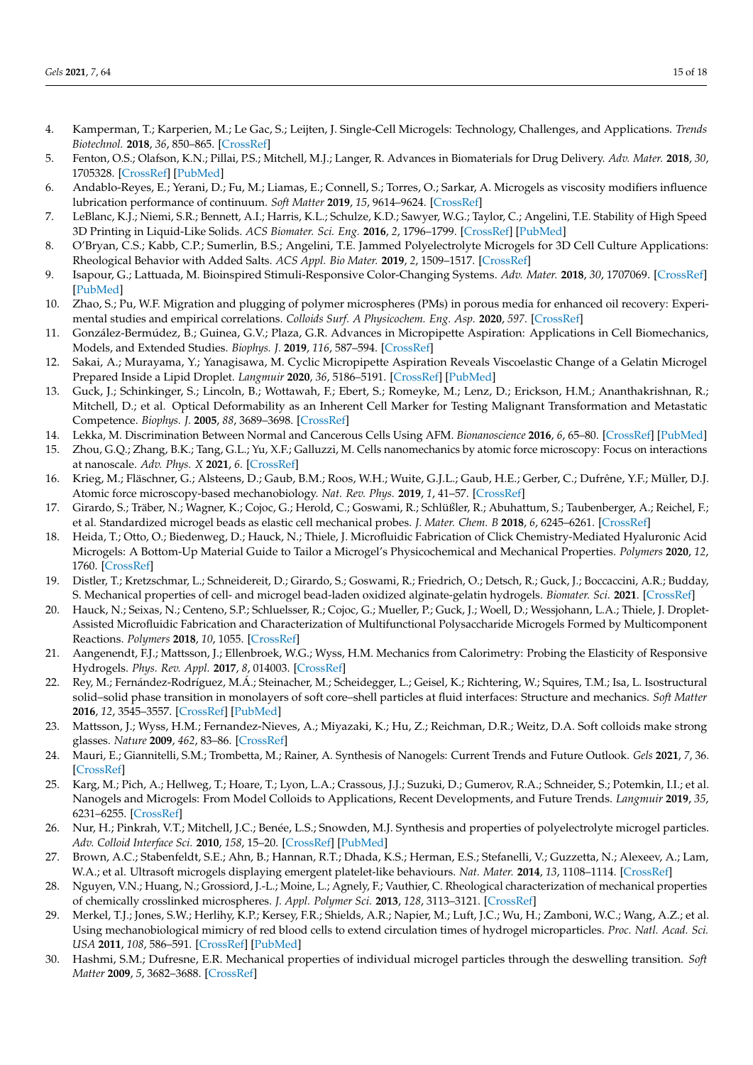- <span id="page-14-25"></span>4. Kamperman, T.; Karperien, M.; Le Gac, S.; Leijten, J. Single-Cell Microgels: Technology, Challenges, and Applications. *Trends Biotechnol.* **2018**, *36*, 850–865. [\[CrossRef\]](http://doi.org/10.1016/j.tibtech.2018.03.001)
- <span id="page-14-0"></span>5. Fenton, O.S.; Olafson, K.N.; Pillai, P.S.; Mitchell, M.J.; Langer, R. Advances in Biomaterials for Drug Delivery. *Adv. Mater.* **2018**, *30*, 1705328. [\[CrossRef\]](http://doi.org/10.1002/adma.201705328) [\[PubMed\]](http://www.ncbi.nlm.nih.gov/pubmed/29736981)
- <span id="page-14-1"></span>6. Andablo-Reyes, E.; Yerani, D.; Fu, M.; Liamas, E.; Connell, S.; Torres, O.; Sarkar, A. Microgels as viscosity modifiers influence lubrication performance of continuum. *Soft Matter* **2019**, *15*, 9614–9624. [\[CrossRef\]](http://doi.org/10.1039/C9SM01802F)
- <span id="page-14-2"></span>7. LeBlanc, K.J.; Niemi, S.R.; Bennett, A.I.; Harris, K.L.; Schulze, K.D.; Sawyer, W.G.; Taylor, C.; Angelini, T.E. Stability of High Speed 3D Printing in Liquid-Like Solids. *ACS Biomater. Sci. Eng.* **2016**, *2*, 1796–1799. [\[CrossRef\]](http://doi.org/10.1021/acsbiomaterials.6b00184) [\[PubMed\]](http://www.ncbi.nlm.nih.gov/pubmed/33440477)
- <span id="page-14-3"></span>8. O'Bryan, C.S.; Kabb, C.P.; Sumerlin, B.S.; Angelini, T.E. Jammed Polyelectrolyte Microgels for 3D Cell Culture Applications: Rheological Behavior with Added Salts. *ACS Appl. Bio Mater.* **2019**, *2*, 1509–1517. [\[CrossRef\]](http://doi.org/10.1021/acsabm.8b00784)
- <span id="page-14-4"></span>9. Isapour, G.; Lattuada, M. Bioinspired Stimuli-Responsive Color-Changing Systems. *Adv. Mater.* **2018**, *30*, 1707069. [\[CrossRef\]](http://doi.org/10.1002/adma.201707069) [\[PubMed\]](http://www.ncbi.nlm.nih.gov/pubmed/29700857)
- <span id="page-14-5"></span>10. Zhao, S.; Pu, W.F. Migration and plugging of polymer microspheres (PMs) in porous media for enhanced oil recovery: Experimental studies and empirical correlations. *Colloids Surf. A Physicochem. Eng. Asp.* **2020**, *597*. [\[CrossRef\]](http://doi.org/10.1016/j.colsurfa.2020.124774)
- <span id="page-14-6"></span>11. González-Bermúdez, B.; Guinea, G.V.; Plaza, G.R. Advances in Micropipette Aspiration: Applications in Cell Biomechanics, Models, and Extended Studies. *Biophys. J.* **2019**, *116*, 587–594. [\[CrossRef\]](http://doi.org/10.1016/j.bpj.2019.01.004)
- <span id="page-14-7"></span>12. Sakai, A.; Murayama, Y.; Yanagisawa, M. Cyclic Micropipette Aspiration Reveals Viscoelastic Change of a Gelatin Microgel Prepared Inside a Lipid Droplet. *Langmuir* **2020**, *36*, 5186–5191. [\[CrossRef\]](http://doi.org/10.1021/acs.langmuir.0c00428) [\[PubMed\]](http://www.ncbi.nlm.nih.gov/pubmed/32347734)
- <span id="page-14-8"></span>13. Guck, J.; Schinkinger, S.; Lincoln, B.; Wottawah, F.; Ebert, S.; Romeyke, M.; Lenz, D.; Erickson, H.M.; Ananthakrishnan, R.; Mitchell, D.; et al. Optical Deformability as an Inherent Cell Marker for Testing Malignant Transformation and Metastatic Competence. *Biophys. J.* **2005**, *88*, 3689–3698. [\[CrossRef\]](http://doi.org/10.1529/biophysj.104.045476)
- <span id="page-14-9"></span>14. Lekka, M. Discrimination Between Normal and Cancerous Cells Using AFM. *Bionanoscience* **2016**, *6*, 65–80. [\[CrossRef\]](http://doi.org/10.1007/s12668-016-0191-3) [\[PubMed\]](http://www.ncbi.nlm.nih.gov/pubmed/27014560)
- 15. Zhou, G.Q.; Zhang, B.K.; Tang, G.L.; Yu, X.F.; Galluzzi, M. Cells nanomechanics by atomic force microscopy: Focus on interactions at nanoscale. *Adv. Phys. X* **2021**, *6*. [\[CrossRef\]](http://doi.org/10.1080/23746149.2020.1866668)
- <span id="page-14-10"></span>16. Krieg, M.; Fläschner, G.; Alsteens, D.; Gaub, B.M.; Roos, W.H.; Wuite, G.J.L.; Gaub, H.E.; Gerber, C.; Dufrêne, Y.F.; Müller, D.J. Atomic force microscopy-based mechanobiology. *Nat. Rev. Phys.* **2019**, *1*, 41–57. [\[CrossRef\]](http://doi.org/10.1038/s42254-018-0001-7)
- <span id="page-14-11"></span>17. Girardo, S.; Träber, N.; Wagner, K.; Cojoc, G.; Herold, C.; Goswami, R.; Schlüßler, R.; Abuhattum, S.; Taubenberger, A.; Reichel, F.; et al. Standardized microgel beads as elastic cell mechanical probes. *J. Mater. Chem. B* **2018**, *6*, 6245–6261. [\[CrossRef\]](http://doi.org/10.1039/C8TB01421C)
- <span id="page-14-24"></span>18. Heida, T.; Otto, O.; Biedenweg, D.; Hauck, N.; Thiele, J. Microfluidic Fabrication of Click Chemistry-Mediated Hyaluronic Acid Microgels: A Bottom-Up Material Guide to Tailor a Microgel's Physicochemical and Mechanical Properties. *Polymers* **2020**, *12*, 1760. [\[CrossRef\]](http://doi.org/10.3390/polym12081760)
- <span id="page-14-12"></span>19. Distler, T.; Kretzschmar, L.; Schneidereit, D.; Girardo, S.; Goswami, R.; Friedrich, O.; Detsch, R.; Guck, J.; Boccaccini, A.R.; Budday, S. Mechanical properties of cell- and microgel bead-laden oxidized alginate-gelatin hydrogels. *Biomater. Sci.* **2021**. [\[CrossRef\]](http://doi.org/10.1039/D0BM02117B)
- <span id="page-14-13"></span>20. Hauck, N.; Seixas, N.; Centeno, S.P.; Schluelsser, R.; Cojoc, G.; Mueller, P.; Guck, J.; Woell, D.; Wessjohann, L.A.; Thiele, J. Droplet-Assisted Microfluidic Fabrication and Characterization of Multifunctional Polysaccharide Microgels Formed by Multicomponent Reactions. *Polymers* **2018**, *10*, 1055. [\[CrossRef\]](http://doi.org/10.3390/polym10101055)
- <span id="page-14-14"></span>21. Aangenendt, F.J.; Mattsson, J.; Ellenbroek, W.G.; Wyss, H.M. Mechanics from Calorimetry: Probing the Elasticity of Responsive Hydrogels. *Phys. Rev. Appl.* **2017**, *8*, 014003. [\[CrossRef\]](http://doi.org/10.1103/PhysRevApplied.8.014003)
- <span id="page-14-15"></span>22. Rey, M.; Fernández-Rodríguez, M.Á.; Steinacher, M.; Scheidegger, L.; Geisel, K.; Richtering, W.; Squires, T.M.; Isa, L. Isostructural solid–solid phase transition in monolayers of soft core–shell particles at fluid interfaces: Structure and mechanics. *Soft Matter* **2016**, *12*, 3545–3557. [\[CrossRef\]](http://doi.org/10.1039/C5SM03062E) [\[PubMed\]](http://www.ncbi.nlm.nih.gov/pubmed/26948023)
- <span id="page-14-16"></span>23. Mattsson, J.; Wyss, H.M.; Fernandez-Nieves, A.; Miyazaki, K.; Hu, Z.; Reichman, D.R.; Weitz, D.A. Soft colloids make strong glasses. *Nature* **2009**, *462*, 83–86. [\[CrossRef\]](http://doi.org/10.1038/nature08457)
- <span id="page-14-17"></span>24. Mauri, E.; Giannitelli, S.M.; Trombetta, M.; Rainer, A. Synthesis of Nanogels: Current Trends and Future Outlook. *Gels* **2021**, *7*, 36. [\[CrossRef\]](http://doi.org/10.3390/gels7020036)
- <span id="page-14-18"></span>25. Karg, M.; Pich, A.; Hellweg, T.; Hoare, T.; Lyon, L.A.; Crassous, J.J.; Suzuki, D.; Gumerov, R.A.; Schneider, S.; Potemkin, I.I.; et al. Nanogels and Microgels: From Model Colloids to Applications, Recent Developments, and Future Trends. *Langmuir* **2019**, *35*, 6231–6255. [\[CrossRef\]](http://doi.org/10.1021/acs.langmuir.8b04304)
- <span id="page-14-19"></span>26. Nur, H.; Pinkrah, V.T.; Mitchell, J.C.; Benée, L.S.; Snowden, M.J. Synthesis and properties of polyelectrolyte microgel particles. *Adv. Colloid Interface Sci.* **2010**, *158*, 15–20. [\[CrossRef\]](http://doi.org/10.1016/j.cis.2009.07.008) [\[PubMed\]](http://www.ncbi.nlm.nih.gov/pubmed/19712922)
- <span id="page-14-20"></span>27. Brown, A.C.; Stabenfeldt, S.E.; Ahn, B.; Hannan, R.T.; Dhada, K.S.; Herman, E.S.; Stefanelli, V.; Guzzetta, N.; Alexeev, A.; Lam, W.A.; et al. Ultrasoft microgels displaying emergent platelet-like behaviours. *Nat. Mater.* **2014**, *13*, 1108–1114. [\[CrossRef\]](http://doi.org/10.1038/nmat4066)
- <span id="page-14-21"></span>28. Nguyen, V.N.; Huang, N.; Grossiord, J.-L.; Moine, L.; Agnely, F.; Vauthier, C. Rheological characterization of mechanical properties of chemically crosslinked microspheres. *J. Appl. Polymer Sci.* **2013**, *128*, 3113–3121. [\[CrossRef\]](http://doi.org/10.1002/app.38510)
- <span id="page-14-22"></span>29. Merkel, T.J.; Jones, S.W.; Herlihy, K.P.; Kersey, F.R.; Shields, A.R.; Napier, M.; Luft, J.C.; Wu, H.; Zamboni, W.C.; Wang, A.Z.; et al. Using mechanobiological mimicry of red blood cells to extend circulation times of hydrogel microparticles. *Proc. Natl. Acad. Sci. USA* **2011**, *108*, 586–591. [\[CrossRef\]](http://doi.org/10.1073/pnas.1010013108) [\[PubMed\]](http://www.ncbi.nlm.nih.gov/pubmed/21220299)
- <span id="page-14-23"></span>30. Hashmi, S.M.; Dufresne, E.R. Mechanical properties of individual microgel particles through the deswelling transition. *Soft Matter* **2009**, *5*, 3682–3688. [\[CrossRef\]](http://doi.org/10.1039/b906051k)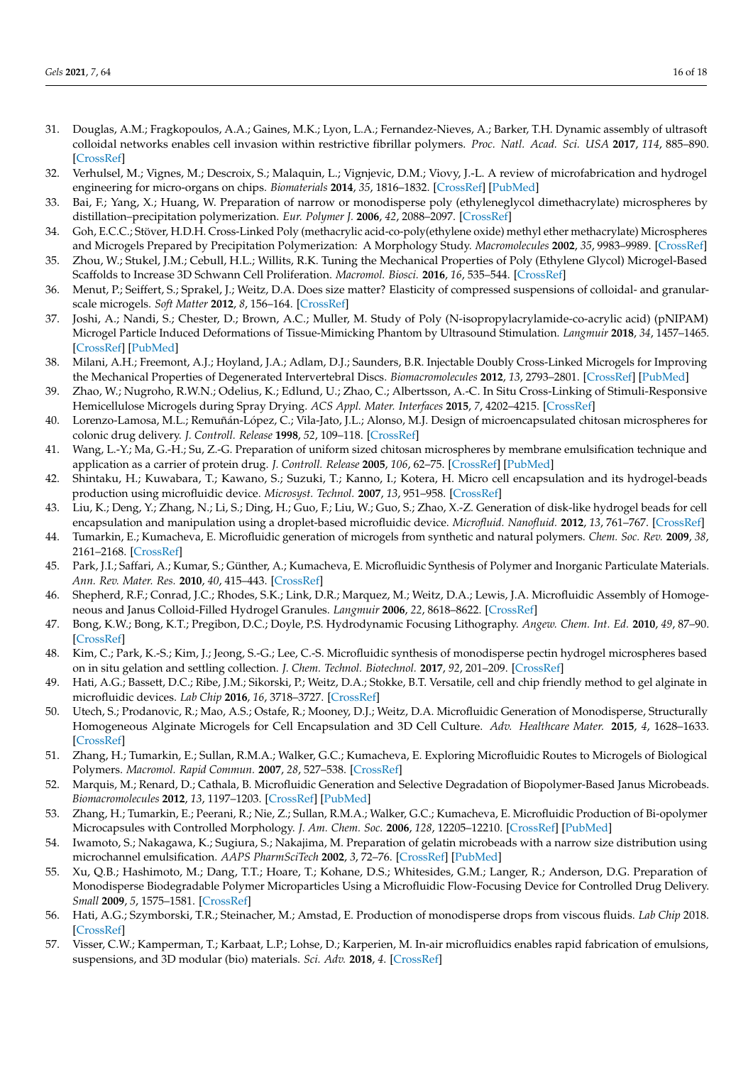- <span id="page-15-0"></span>31. Douglas, A.M.; Fragkopoulos, A.A.; Gaines, M.K.; Lyon, L.A.; Fernandez-Nieves, A.; Barker, T.H. Dynamic assembly of ultrasoft colloidal networks enables cell invasion within restrictive fibrillar polymers. *Proc. Natl. Acad. Sci. USA* **2017**, *114*, 885–890. [\[CrossRef\]](http://doi.org/10.1073/pnas.1607350114)
- <span id="page-15-1"></span>32. Verhulsel, M.; Vignes, M.; Descroix, S.; Malaquin, L.; Vignjevic, D.M.; Viovy, J.-L. A review of microfabrication and hydrogel engineering for micro-organs on chips. *Biomaterials* **2014**, *35*, 1816–1832. [\[CrossRef\]](http://doi.org/10.1016/j.biomaterials.2013.11.021) [\[PubMed\]](http://www.ncbi.nlm.nih.gov/pubmed/24314552)
- <span id="page-15-2"></span>33. Bai, F.; Yang, X.; Huang, W. Preparation of narrow or monodisperse poly (ethyleneglycol dimethacrylate) microspheres by distillation–precipitation polymerization. *Eur. Polymer J.* **2006**, *42*, 2088–2097. [\[CrossRef\]](http://doi.org/10.1016/j.eurpolymj.2006.03.030)
- <span id="page-15-3"></span>34. Goh, E.C.C.; Stöver, H.D.H. Cross-Linked Poly (methacrylic acid-co-poly(ethylene oxide) methyl ether methacrylate) Microspheres and Microgels Prepared by Precipitation Polymerization: A Morphology Study. *Macromolecules* **2002**, *35*, 9983–9989. [\[CrossRef\]](http://doi.org/10.1021/ma0211028)
- <span id="page-15-4"></span>35. Zhou, W.; Stukel, J.M.; Cebull, H.L.; Willits, R.K. Tuning the Mechanical Properties of Poly (Ethylene Glycol) Microgel-Based Scaffolds to Increase 3D Schwann Cell Proliferation. *Macromol. Biosci.* **2016**, *16*, 535–544. [\[CrossRef\]](http://doi.org/10.1002/mabi.201500336)
- <span id="page-15-5"></span>36. Menut, P.; Seiffert, S.; Sprakel, J.; Weitz, D.A. Does size matter? Elasticity of compressed suspensions of colloidal- and granularscale microgels. *Soft Matter* **2012**, *8*, 156–164. [\[CrossRef\]](http://doi.org/10.1039/C1SM06355C)
- <span id="page-15-6"></span>37. Joshi, A.; Nandi, S.; Chester, D.; Brown, A.C.; Muller, M. Study of Poly (N-isopropylacrylamide-co-acrylic acid) (pNIPAM) Microgel Particle Induced Deformations of Tissue-Mimicking Phantom by Ultrasound Stimulation. *Langmuir* **2018**, *34*, 1457–1465. [\[CrossRef\]](http://doi.org/10.1021/acs.langmuir.7b02801) [\[PubMed\]](http://www.ncbi.nlm.nih.gov/pubmed/29257896)
- <span id="page-15-7"></span>38. Milani, A.H.; Freemont, A.J.; Hoyland, J.A.; Adlam, D.J.; Saunders, B.R. Injectable Doubly Cross-Linked Microgels for Improving the Mechanical Properties of Degenerated Intervertebral Discs. *Biomacromolecules* **2012**, *13*, 2793–2801. [\[CrossRef\]](http://doi.org/10.1021/bm3007727) [\[PubMed\]](http://www.ncbi.nlm.nih.gov/pubmed/22877136)
- <span id="page-15-8"></span>39. Zhao, W.; Nugroho, R.W.N.; Odelius, K.; Edlund, U.; Zhao, C.; Albertsson, A.-C. In Situ Cross-Linking of Stimuli-Responsive Hemicellulose Microgels during Spray Drying. *ACS Appl. Mater. Interfaces* **2015**, *7*, 4202–4215. [\[CrossRef\]](http://doi.org/10.1021/am5084732)
- <span id="page-15-9"></span>40. Lorenzo-Lamosa, M.L.; Remuñán-López, C.; Vila-Jato, J.L.; Alonso, M.J. Design of microencapsulated chitosan microspheres for colonic drug delivery. *J. Controll. Release* **1998**, *52*, 109–118. [\[CrossRef\]](http://doi.org/10.1016/S0168-3659(97)00203-4)
- <span id="page-15-10"></span>41. Wang, L.-Y.; Ma, G.-H.; Su, Z.-G. Preparation of uniform sized chitosan microspheres by membrane emulsification technique and application as a carrier of protein drug. *J. Controll. Release* **2005**, *106*, 62–75. [\[CrossRef\]](http://doi.org/10.1016/j.jconrel.2005.04.005) [\[PubMed\]](http://www.ncbi.nlm.nih.gov/pubmed/15922472)
- <span id="page-15-11"></span>42. Shintaku, H.; Kuwabara, T.; Kawano, S.; Suzuki, T.; Kanno, I.; Kotera, H. Micro cell encapsulation and its hydrogel-beads production using microfluidic device. *Microsyst. Technol.* **2007**, *13*, 951–958. [\[CrossRef\]](http://doi.org/10.1007/s00542-006-0291-z)
- <span id="page-15-12"></span>43. Liu, K.; Deng, Y.; Zhang, N.; Li, S.; Ding, H.; Guo, F.; Liu, W.; Guo, S.; Zhao, X.-Z. Generation of disk-like hydrogel beads for cell encapsulation and manipulation using a droplet-based microfluidic device. *Microfluid. Nanofluid.* **2012**, *13*, 761–767. [\[CrossRef\]](http://doi.org/10.1007/s10404-012-0998-3)
- <span id="page-15-13"></span>44. Tumarkin, E.; Kumacheva, E. Microfluidic generation of microgels from synthetic and natural polymers. *Chem. Soc. Rev.* **2009**, *38*, 2161–2168. [\[CrossRef\]](http://doi.org/10.1039/b809915b)
- <span id="page-15-14"></span>45. Park, J.I.; Saffari, A.; Kumar, S.; Günther, A.; Kumacheva, E. Microfluidic Synthesis of Polymer and Inorganic Particulate Materials. *Ann. Rev. Mater. Res.* **2010**, *40*, 415–443. [\[CrossRef\]](http://doi.org/10.1146/annurev-matsci-070909-104514)
- <span id="page-15-15"></span>46. Shepherd, R.F.; Conrad, J.C.; Rhodes, S.K.; Link, D.R.; Marquez, M.; Weitz, D.A.; Lewis, J.A. Microfluidic Assembly of Homogeneous and Janus Colloid-Filled Hydrogel Granules. *Langmuir* **2006**, *22*, 8618–8622. [\[CrossRef\]](http://doi.org/10.1021/la060759+)
- <span id="page-15-16"></span>47. Bong, K.W.; Bong, K.T.; Pregibon, D.C.; Doyle, P.S. Hydrodynamic Focusing Lithography. *Angew. Chem. Int. Ed.* **2010**, *49*, 87–90. [\[CrossRef\]](http://doi.org/10.1002/anie.200905229)
- <span id="page-15-17"></span>48. Kim, C.; Park, K.-S.; Kim, J.; Jeong, S.-G.; Lee, C.-S. Microfluidic synthesis of monodisperse pectin hydrogel microspheres based on in situ gelation and settling collection. *J. Chem. Technol. Biotechnol.* **2017**, *92*, 201–209. [\[CrossRef\]](http://doi.org/10.1002/jctb.4991)
- <span id="page-15-18"></span>49. Hati, A.G.; Bassett, D.C.; Ribe, J.M.; Sikorski, P.; Weitz, D.A.; Stokke, B.T. Versatile, cell and chip friendly method to gel alginate in microfluidic devices. *Lab Chip* **2016**, *16*, 3718–3727. [\[CrossRef\]](http://doi.org/10.1039/C6LC00769D)
- <span id="page-15-19"></span>50. Utech, S.; Prodanovic, R.; Mao, A.S.; Ostafe, R.; Mooney, D.J.; Weitz, D.A. Microfluidic Generation of Monodisperse, Structurally Homogeneous Alginate Microgels for Cell Encapsulation and 3D Cell Culture. *Adv. Healthcare Mater.* **2015**, *4*, 1628–1633. [\[CrossRef\]](http://doi.org/10.1002/adhm.201500021)
- <span id="page-15-20"></span>51. Zhang, H.; Tumarkin, E.; Sullan, R.M.A.; Walker, G.C.; Kumacheva, E. Exploring Microfluidic Routes to Microgels of Biological Polymers. *Macromol. Rapid Commun.* **2007**, *28*, 527–538. [\[CrossRef\]](http://doi.org/10.1002/marc.200600776)
- <span id="page-15-21"></span>52. Marquis, M.; Renard, D.; Cathala, B. Microfluidic Generation and Selective Degradation of Biopolymer-Based Janus Microbeads. *Biomacromolecules* **2012**, *13*, 1197–1203. [\[CrossRef\]](http://doi.org/10.1021/bm300159u) [\[PubMed\]](http://www.ncbi.nlm.nih.gov/pubmed/22401572)
- <span id="page-15-22"></span>53. Zhang, H.; Tumarkin, E.; Peerani, R.; Nie, Z.; Sullan, R.M.A.; Walker, G.C.; Kumacheva, E. Microfluidic Production of Bi-opolymer Microcapsules with Controlled Morphology. *J. Am. Chem. Soc.* **2006**, *128*, 12205–12210. [\[CrossRef\]](http://doi.org/10.1021/ja0635682) [\[PubMed\]](http://www.ncbi.nlm.nih.gov/pubmed/16967971)
- <span id="page-15-23"></span>54. Iwamoto, S.; Nakagawa, K.; Sugiura, S.; Nakajima, M. Preparation of gelatin microbeads with a narrow size distribution using microchannel emulsification. *AAPS PharmSciTech* **2002**, *3*, 72–76. [\[CrossRef\]](http://doi.org/10.1208/pt030325) [\[PubMed\]](http://www.ncbi.nlm.nih.gov/pubmed/12916940)
- <span id="page-15-24"></span>55. Xu, Q.B.; Hashimoto, M.; Dang, T.T.; Hoare, T.; Kohane, D.S.; Whitesides, G.M.; Langer, R.; Anderson, D.G. Preparation of Monodisperse Biodegradable Polymer Microparticles Using a Microfluidic Flow-Focusing Device for Controlled Drug Delivery. *Small* **2009**, *5*, 1575–1581. [\[CrossRef\]](http://doi.org/10.1002/smll.200801855)
- <span id="page-15-25"></span>56. Hati, A.G.; Szymborski, T.R.; Steinacher, M.; Amstad, E. Production of monodisperse drops from viscous fluids. *Lab Chip* 2018. [\[CrossRef\]](http://doi.org/10.1039/C7LC01322A)
- <span id="page-15-26"></span>57. Visser, C.W.; Kamperman, T.; Karbaat, L.P.; Lohse, D.; Karperien, M. In-air microfluidics enables rapid fabrication of emulsions, suspensions, and 3D modular (bio) materials. *Sci. Adv.* **2018**, *4*. [\[CrossRef\]](http://doi.org/10.1126/sciadv.aao1175)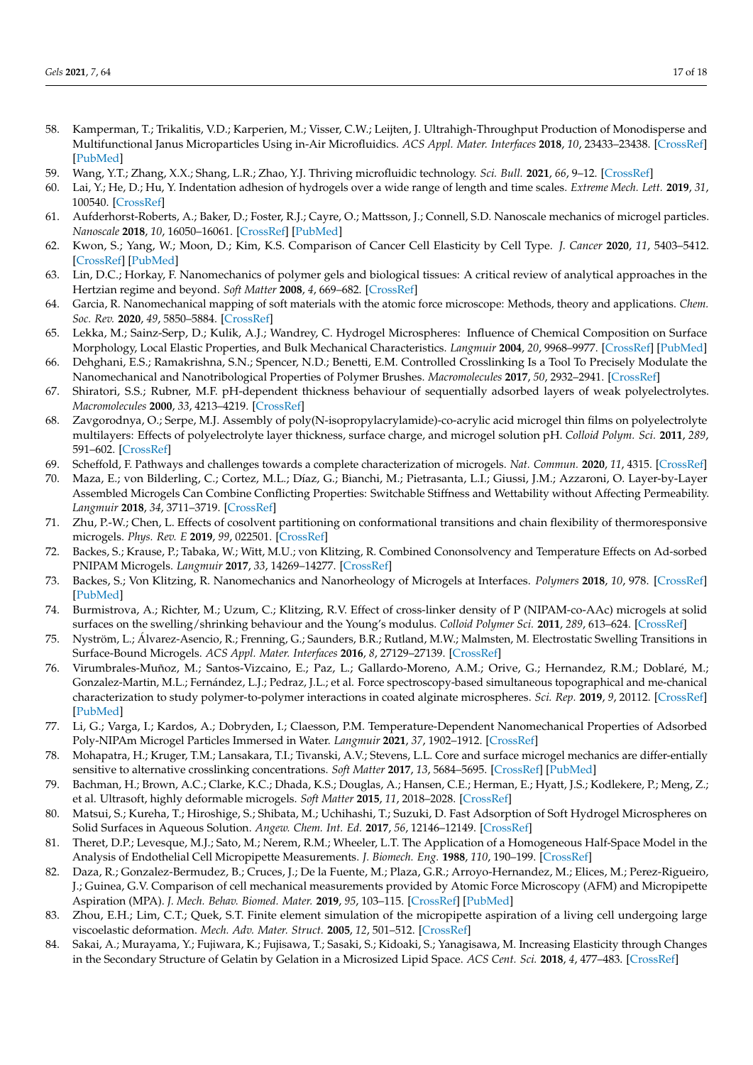- <span id="page-16-0"></span>58. Kamperman, T.; Trikalitis, V.D.; Karperien, M.; Visser, C.W.; Leijten, J. Ultrahigh-Throughput Production of Monodisperse and Multifunctional Janus Microparticles Using in-Air Microfluidics. *ACS Appl. Mater. Interfaces* **2018**, *10*, 23433–23438. [\[CrossRef\]](http://doi.org/10.1021/acsami.8b05227) [\[PubMed\]](http://www.ncbi.nlm.nih.gov/pubmed/29952552)
- <span id="page-16-1"></span>59. Wang, Y.T.; Zhang, X.X.; Shang, L.R.; Zhao, Y.J. Thriving microfluidic technology. *Sci. Bull.* **2021**, *66*, 9–12. [\[CrossRef\]](http://doi.org/10.1016/j.scib.2020.07.030)
- <span id="page-16-2"></span>60. Lai, Y.; He, D.; Hu, Y. Indentation adhesion of hydrogels over a wide range of length and time scales. *Extreme Mech. Lett.* **2019**, *31*, 100540. [\[CrossRef\]](http://doi.org/10.1016/j.eml.2019.100540)
- <span id="page-16-3"></span>61. Aufderhorst-Roberts, A.; Baker, D.; Foster, R.J.; Cayre, O.; Mattsson, J.; Connell, S.D. Nanoscale mechanics of microgel particles. *Nanoscale* **2018**, *10*, 16050–16061. [\[CrossRef\]](http://doi.org/10.1039/C8NR02911C) [\[PubMed\]](http://www.ncbi.nlm.nih.gov/pubmed/30106410)
- <span id="page-16-4"></span>62. Kwon, S.; Yang, W.; Moon, D.; Kim, K.S. Comparison of Cancer Cell Elasticity by Cell Type. *J. Cancer* **2020**, *11*, 5403–5412. [\[CrossRef\]](http://doi.org/10.7150/jca.45897) [\[PubMed\]](http://www.ncbi.nlm.nih.gov/pubmed/32742487)
- <span id="page-16-5"></span>63. Lin, D.C.; Horkay, F. Nanomechanics of polymer gels and biological tissues: A critical review of analytical approaches in the Hertzian regime and beyond. *Soft Matter* **2008**, *4*, 669–682. [\[CrossRef\]](http://doi.org/10.1039/b714637j)
- <span id="page-16-6"></span>64. Garcia, R. Nanomechanical mapping of soft materials with the atomic force microscope: Methods, theory and applications. *Chem. Soc. Rev.* **2020**, *49*, 5850–5884. [\[CrossRef\]](http://doi.org/10.1039/D0CS00318B)
- <span id="page-16-7"></span>65. Lekka, M.; Sainz-Serp, D.; Kulik, A.J.; Wandrey, C. Hydrogel Microspheres: Influence of Chemical Composition on Surface Morphology, Local Elastic Properties, and Bulk Mechanical Characteristics. *Langmuir* **2004**, *20*, 9968–9977. [\[CrossRef\]](http://doi.org/10.1021/la048389h) [\[PubMed\]](http://www.ncbi.nlm.nih.gov/pubmed/15518482)
- 66. Dehghani, E.S.; Ramakrishna, S.N.; Spencer, N.D.; Benetti, E.M. Controlled Crosslinking Is a Tool To Precisely Modulate the Nanomechanical and Nanotribological Properties of Polymer Brushes. *Macromolecules* **2017**, *50*, 2932–2941. [\[CrossRef\]](http://doi.org/10.1021/acs.macromol.6b02409)
- 67. Shiratori, S.S.; Rubner, M.F. pH-dependent thickness behaviour of sequentially adsorbed layers of weak polyelectrolytes. *Macromolecules* **2000**, *33*, 4213–4219. [\[CrossRef\]](http://doi.org/10.1021/ma991645q)
- 68. Zavgorodnya, O.; Serpe, M.J. Assembly of poly(N-isopropylacrylamide)-co-acrylic acid microgel thin films on polyelectrolyte multilayers: Effects of polyelectrolyte layer thickness, surface charge, and microgel solution pH. *Colloid Polym. Sci.* **2011**, *289*, 591–602. [\[CrossRef\]](http://doi.org/10.1007/s00396-011-2376-1)
- 69. Scheffold, F. Pathways and challenges towards a complete characterization of microgels. *Nat. Commun.* **2020**, *11*, 4315. [\[CrossRef\]](http://doi.org/10.1038/s41467-020-17774-5)
- <span id="page-16-8"></span>70. Maza, E.; von Bilderling, C.; Cortez, M.L.; Díaz, G.; Bianchi, M.; Pietrasanta, L.I.; Giussi, J.M.; Azzaroni, O. Layer-by-Layer Assembled Microgels Can Combine Conflicting Properties: Switchable Stiffness and Wettability without Affecting Permeability. *Langmuir* **2018**, *34*, 3711–3719. [\[CrossRef\]](http://doi.org/10.1021/acs.langmuir.8b00047)
- <span id="page-16-9"></span>71. Zhu, P.-W.; Chen, L. Effects of cosolvent partitioning on conformational transitions and chain flexibility of thermoresponsive microgels. *Phys. Rev. E* **2019**, *99*, 022501. [\[CrossRef\]](http://doi.org/10.1103/PhysRevE.99.022501)
- <span id="page-16-13"></span>72. Backes, S.; Krause, P.; Tabaka, W.; Witt, M.U.; von Klitzing, R. Combined Cononsolvency and Temperature Effects on Ad-sorbed PNIPAM Microgels. *Langmuir* **2017**, *33*, 14269–14277. [\[CrossRef\]](http://doi.org/10.1021/acs.langmuir.7b02903)
- <span id="page-16-10"></span>73. Backes, S.; Von Klitzing, R. Nanomechanics and Nanorheology of Microgels at Interfaces. *Polymers* **2018**, *10*, 978. [\[CrossRef\]](http://doi.org/10.3390/polym10090978) [\[PubMed\]](http://www.ncbi.nlm.nih.gov/pubmed/30960903)
- <span id="page-16-11"></span>74. Burmistrova, A.; Richter, M.; Uzum, C.; Klitzing, R.V. Effect of cross-linker density of P (NIPAM-co-AAc) microgels at solid surfaces on the swelling/shrinking behaviour and the Young's modulus. *Colloid Polymer Sci.* **2011**, *289*, 613–624. [\[CrossRef\]](http://doi.org/10.1007/s00396-011-2383-2)
- <span id="page-16-12"></span>75. Nyström, L.; Álvarez-Asencio, R.; Frenning, G.; Saunders, B.R.; Rutland, M.W.; Malmsten, M. Electrostatic Swelling Transitions in Surface-Bound Microgels. *ACS Appl. Mater. Interfaces* **2016**, *8*, 27129–27139. [\[CrossRef\]](http://doi.org/10.1021/acsami.6b09751)
- <span id="page-16-14"></span>76. Virumbrales-Muñoz, M.; Santos-Vizcaino, E.; Paz, L.; Gallardo-Moreno, A.M.; Orive, G.; Hernandez, R.M.; Doblaré, M.; Gonzalez-Martin, M.L.; Fernández, L.J.; Pedraz, J.L.; et al. Force spectroscopy-based simultaneous topographical and me-chanical characterization to study polymer-to-polymer interactions in coated alginate microspheres. *Sci. Rep.* **2019**, *9*, 20112. [\[CrossRef\]](http://doi.org/10.1038/s41598-019-56547-z) [\[PubMed\]](http://www.ncbi.nlm.nih.gov/pubmed/31882828)
- <span id="page-16-15"></span>77. Li, G.; Varga, I.; Kardos, A.; Dobryden, I.; Claesson, P.M. Temperature-Dependent Nanomechanical Properties of Adsorbed Poly-NIPAm Microgel Particles Immersed in Water. *Langmuir* **2021**, *37*, 1902–1912. [\[CrossRef\]](http://doi.org/10.1021/acs.langmuir.0c03386)
- <span id="page-16-16"></span>78. Mohapatra, H.; Kruger, T.M.; Lansakara, T.I.; Tivanski, A.V.; Stevens, L.L. Core and surface microgel mechanics are differ-entially sensitive to alternative crosslinking concentrations. *Soft Matter* **2017**, *13*, 5684–5695. [\[CrossRef\]](http://doi.org/10.1039/C7SM00727B) [\[PubMed\]](http://www.ncbi.nlm.nih.gov/pubmed/28744535)
- <span id="page-16-17"></span>79. Bachman, H.; Brown, A.C.; Clarke, K.C.; Dhada, K.S.; Douglas, A.; Hansen, C.E.; Herman, E.; Hyatt, J.S.; Kodlekere, P.; Meng, Z.; et al. Ultrasoft, highly deformable microgels. *Soft Matter* **2015**, *11*, 2018–2028. [\[CrossRef\]](http://doi.org/10.1039/C5SM00047E)
- <span id="page-16-18"></span>80. Matsui, S.; Kureha, T.; Hiroshige, S.; Shibata, M.; Uchihashi, T.; Suzuki, D. Fast Adsorption of Soft Hydrogel Microspheres on Solid Surfaces in Aqueous Solution. *Angew. Chem. Int. Ed.* **2017**, *56*, 12146–12149. [\[CrossRef\]](http://doi.org/10.1002/anie.201705808)
- <span id="page-16-19"></span>81. Theret, D.P.; Levesque, M.J.; Sato, M.; Nerem, R.M.; Wheeler, L.T. The Application of a Homogeneous Half-Space Model in the Analysis of Endothelial Cell Micropipette Measurements. *J. Biomech. Eng.* **1988**, *110*, 190–199. [\[CrossRef\]](http://doi.org/10.1115/1.3108430)
- <span id="page-16-20"></span>82. Daza, R.; Gonzalez-Bermudez, B.; Cruces, J.; De la Fuente, M.; Plaza, G.R.; Arroyo-Hernandez, M.; Elices, M.; Perez-Rigueiro, J.; Guinea, G.V. Comparison of cell mechanical measurements provided by Atomic Force Microscopy (AFM) and Micropipette Aspiration (MPA). *J. Mech. Behav. Biomed. Mater.* **2019**, *95*, 103–115. [\[CrossRef\]](http://doi.org/10.1016/j.jmbbm.2019.03.031) [\[PubMed\]](http://www.ncbi.nlm.nih.gov/pubmed/30986755)
- <span id="page-16-21"></span>83. Zhou, E.H.; Lim, C.T.; Quek, S.T. Finite element simulation of the micropipette aspiration of a living cell undergoing large viscoelastic deformation. *Mech. Adv. Mater. Struct.* **2005**, *12*, 501–512. [\[CrossRef\]](http://doi.org/10.1080/15376490500259335)
- <span id="page-16-22"></span>84. Sakai, A.; Murayama, Y.; Fujiwara, K.; Fujisawa, T.; Sasaki, S.; Kidoaki, S.; Yanagisawa, M. Increasing Elasticity through Changes in the Secondary Structure of Gelatin by Gelation in a Microsized Lipid Space. *ACS Cent. Sci.* **2018**, *4*, 477–483. [\[CrossRef\]](http://doi.org/10.1021/acscentsci.7b00625)